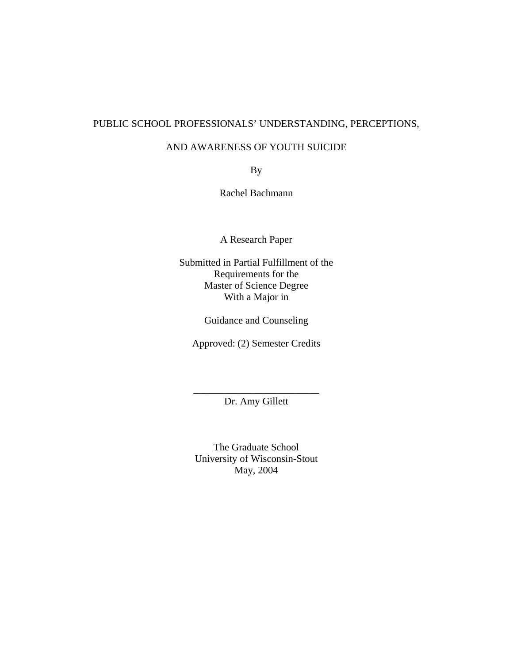## PUBLIC SCHOOL PROFESSIONALS' UNDERSTANDING, PERCEPTIONS,

## AND AWARENESS OF YOUTH SUICIDE

By

Rachel Bachmann

A Research Paper

Submitted in Partial Fulfillment of the Requirements for the Master of Science Degree With a Major in

Guidance and Counseling

Approved: (2) Semester Credits

\_\_\_\_\_\_\_\_\_\_\_\_\_\_\_\_\_\_\_\_\_\_\_\_\_ Dr. Amy Gillett

The Graduate School University of Wisconsin-Stout May, 2004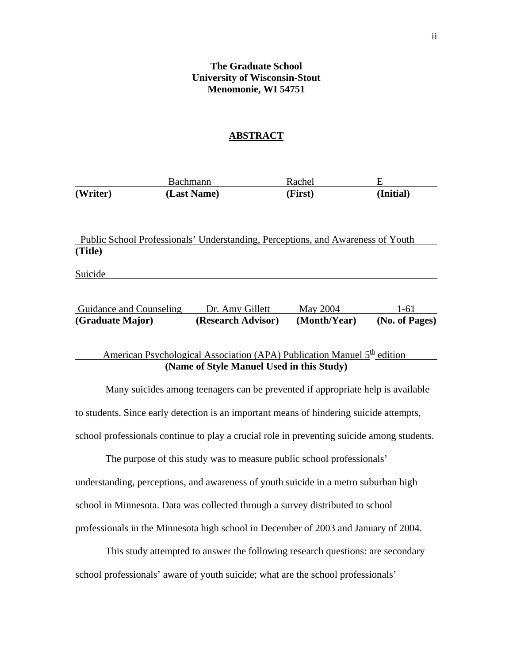## **The Graduate School University of Wisconsin-Stout Menomonie, WI 54751**

#### **ABSTRACT**

|          | Bachmann    | Rachel  |           |
|----------|-------------|---------|-----------|
| (Writer) | (Last Name) | (First) | (Initial) |

## Public School Professionals' Understanding, Perceptions, and Awareness of Youth **(Title)**

Suicide

| (Graduate Major)        | (Research Advisor) | (Month/Year) | (No. of Pages) |
|-------------------------|--------------------|--------------|----------------|
| Guidance and Counseling | Dr. Amy Gillett    | May 2004     | 1-61           |

# American Psychological Association (APA) Publication Manuel  $5<sup>th</sup>$  edition **(Name of Style Manuel Used in this Study)**

Many suicides among teenagers can be prevented if appropriate help is available to students. Since early detection is an important means of hindering suicide attempts, school professionals continue to play a crucial role in preventing suicide among students.

The purpose of this study was to measure public school professionals' understanding, perceptions, and awareness of youth suicide in a metro suburban high school in Minnesota. Data was collected through a survey distributed to school professionals in the Minnesota high school in December of 2003 and January of 2004.

This study attempted to answer the following research questions: are secondary school professionals' aware of youth suicide; what are the school professionals'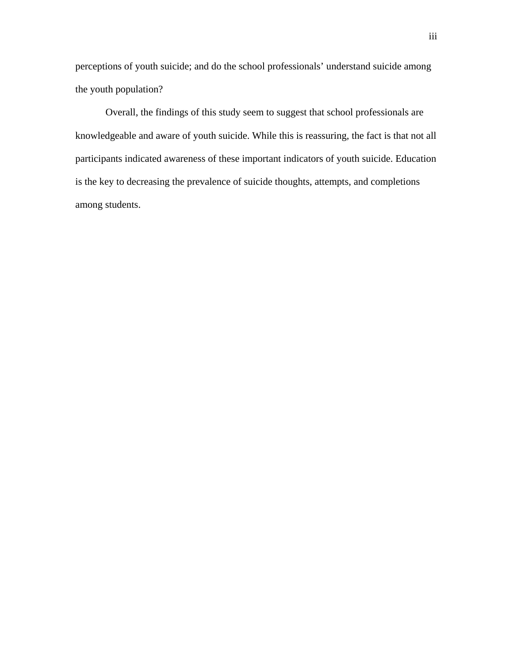perceptions of youth suicide; and do the school professionals' understand suicide among the youth population?

Overall, the findings of this study seem to suggest that school professionals are knowledgeable and aware of youth suicide. While this is reassuring, the fact is that not all participants indicated awareness of these important indicators of youth suicide. Education is the key to decreasing the prevalence of suicide thoughts, attempts, and completions among students.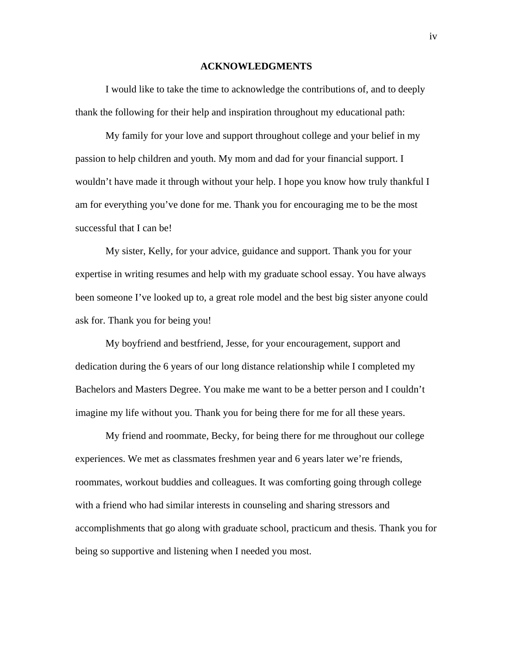#### **ACKNOWLEDGMENTS**

I would like to take the time to acknowledge the contributions of, and to deeply thank the following for their help and inspiration throughout my educational path:

 My family for your love and support throughout college and your belief in my passion to help children and youth. My mom and dad for your financial support. I wouldn't have made it through without your help. I hope you know how truly thankful I am for everything you've done for me. Thank you for encouraging me to be the most successful that I can be!

 My sister, Kelly, for your advice, guidance and support. Thank you for your expertise in writing resumes and help with my graduate school essay. You have always been someone I've looked up to, a great role model and the best big sister anyone could ask for. Thank you for being you!

 My boyfriend and bestfriend, Jesse, for your encouragement, support and dedication during the 6 years of our long distance relationship while I completed my Bachelors and Masters Degree. You make me want to be a better person and I couldn't imagine my life without you. Thank you for being there for me for all these years.

 My friend and roommate, Becky, for being there for me throughout our college experiences. We met as classmates freshmen year and 6 years later we're friends, roommates, workout buddies and colleagues. It was comforting going through college with a friend who had similar interests in counseling and sharing stressors and accomplishments that go along with graduate school, practicum and thesis. Thank you for being so supportive and listening when I needed you most.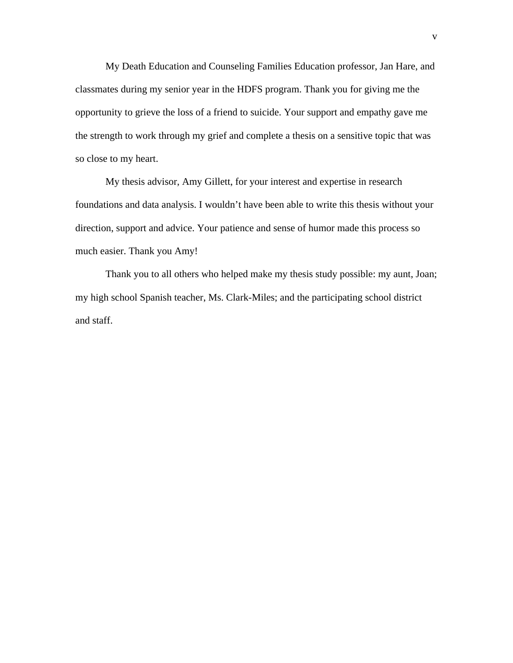My Death Education and Counseling Families Education professor, Jan Hare, and classmates during my senior year in the HDFS program. Thank you for giving me the opportunity to grieve the loss of a friend to suicide. Your support and empathy gave me the strength to work through my grief and complete a thesis on a sensitive topic that was so close to my heart.

 My thesis advisor, Amy Gillett, for your interest and expertise in research foundations and data analysis. I wouldn't have been able to write this thesis without your direction, support and advice. Your patience and sense of humor made this process so much easier. Thank you Amy!

 Thank you to all others who helped make my thesis study possible: my aunt, Joan; my high school Spanish teacher, Ms. Clark-Miles; and the participating school district and staff.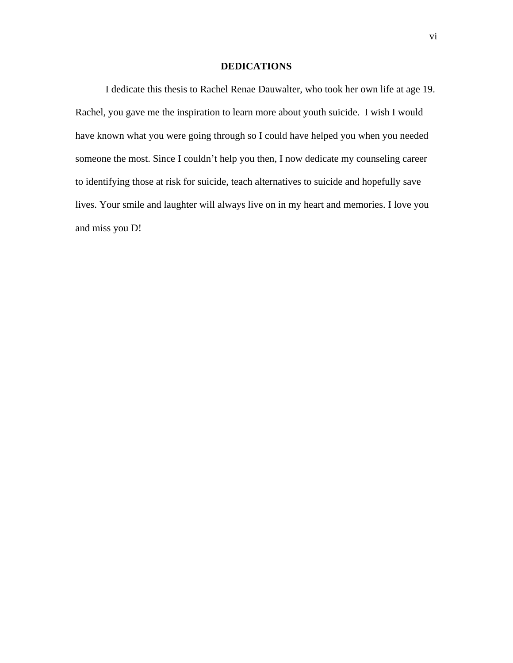#### **DEDICATIONS**

I dedicate this thesis to Rachel Renae Dauwalter, who took her own life at age 19. Rachel, you gave me the inspiration to learn more about youth suicide. I wish I would have known what you were going through so I could have helped you when you needed someone the most. Since I couldn't help you then, I now dedicate my counseling career to identifying those at risk for suicide, teach alternatives to suicide and hopefully save lives. Your smile and laughter will always live on in my heart and memories. I love you and miss you D!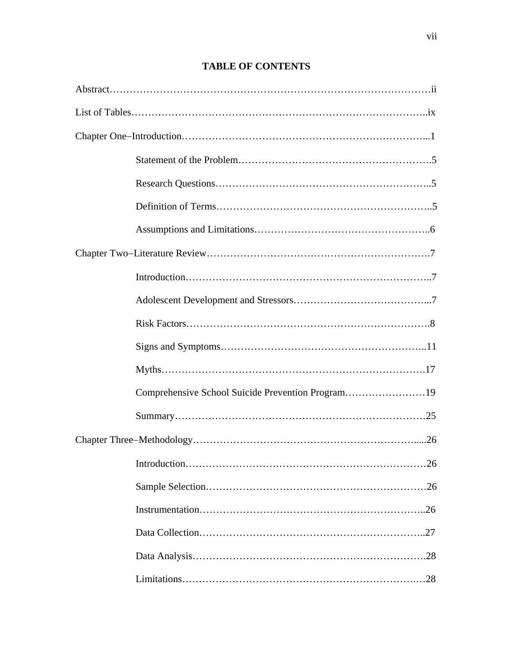| Comprehensive School Suicide Prevention Program19 |
|---------------------------------------------------|
|                                                   |
|                                                   |
|                                                   |
|                                                   |
|                                                   |
|                                                   |
|                                                   |
|                                                   |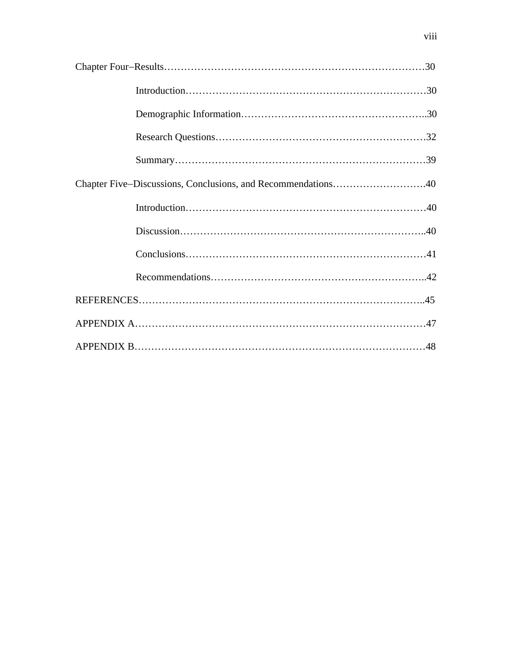| Chapter Five–Discussions, Conclusions, and Recommendations40 |
|--------------------------------------------------------------|
|                                                              |
|                                                              |
|                                                              |
|                                                              |
|                                                              |
|                                                              |
|                                                              |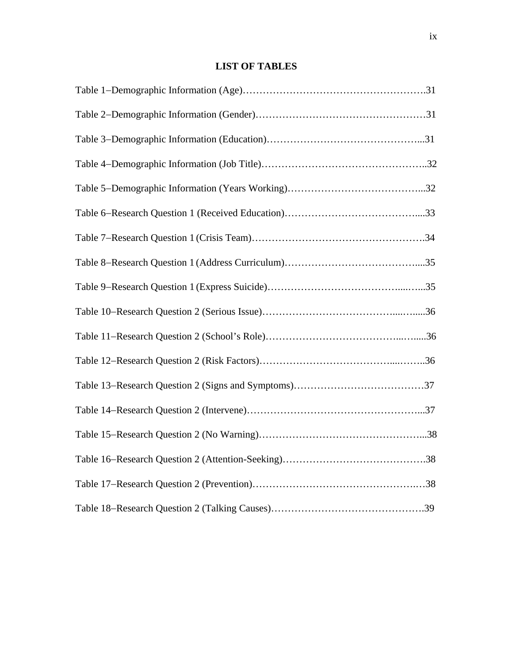# **LIST OF TABLES**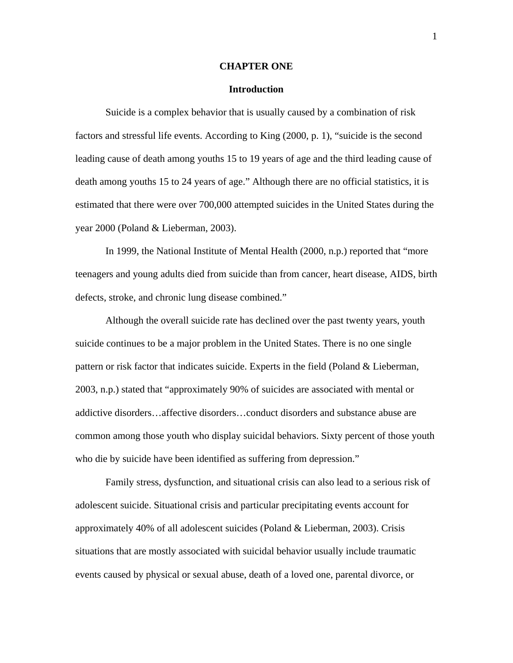#### **CHAPTER ONE**

#### **Introduction**

Suicide is a complex behavior that is usually caused by a combination of risk factors and stressful life events. According to King (2000, p. 1), "suicide is the second leading cause of death among youths 15 to 19 years of age and the third leading cause of death among youths 15 to 24 years of age." Although there are no official statistics, it is estimated that there were over 700,000 attempted suicides in the United States during the year 2000 (Poland & Lieberman, 2003).

In 1999, the National Institute of Mental Health (2000, n.p.) reported that "more teenagers and young adults died from suicide than from cancer, heart disease, AIDS, birth defects, stroke, and chronic lung disease combined."

Although the overall suicide rate has declined over the past twenty years, youth suicide continues to be a major problem in the United States. There is no one single pattern or risk factor that indicates suicide. Experts in the field (Poland  $\&$  Lieberman, 2003, n.p.) stated that "approximately 90% of suicides are associated with mental or addictive disorders…affective disorders…conduct disorders and substance abuse are common among those youth who display suicidal behaviors. Sixty percent of those youth who die by suicide have been identified as suffering from depression."

Family stress, dysfunction, and situational crisis can also lead to a serious risk of adolescent suicide. Situational crisis and particular precipitating events account for approximately 40% of all adolescent suicides (Poland & Lieberman, 2003). Crisis situations that are mostly associated with suicidal behavior usually include traumatic events caused by physical or sexual abuse, death of a loved one, parental divorce, or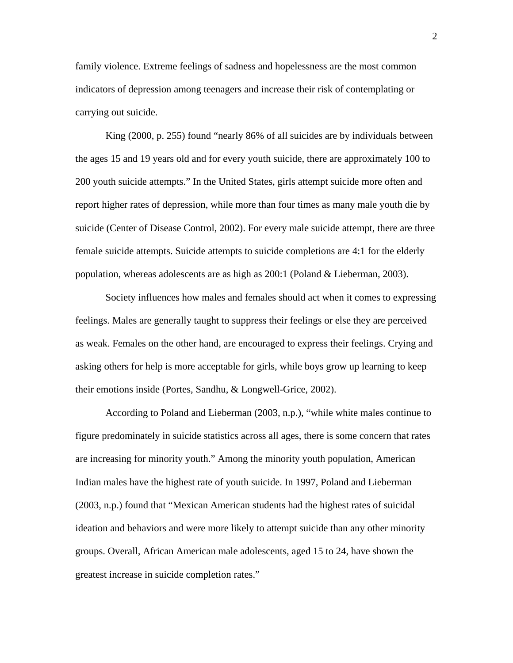family violence. Extreme feelings of sadness and hopelessness are the most common indicators of depression among teenagers and increase their risk of contemplating or carrying out suicide.

King (2000, p. 255) found "nearly 86% of all suicides are by individuals between the ages 15 and 19 years old and for every youth suicide, there are approximately 100 to 200 youth suicide attempts." In the United States, girls attempt suicide more often and report higher rates of depression, while more than four times as many male youth die by suicide (Center of Disease Control, 2002). For every male suicide attempt, there are three female suicide attempts. Suicide attempts to suicide completions are 4:1 for the elderly population, whereas adolescents are as high as 200:1 (Poland & Lieberman, 2003).

Society influences how males and females should act when it comes to expressing feelings. Males are generally taught to suppress their feelings or else they are perceived as weak. Females on the other hand, are encouraged to express their feelings. Crying and asking others for help is more acceptable for girls, while boys grow up learning to keep their emotions inside (Portes, Sandhu, & Longwell-Grice, 2002).

According to Poland and Lieberman (2003, n.p.), "while white males continue to figure predominately in suicide statistics across all ages, there is some concern that rates are increasing for minority youth." Among the minority youth population, American Indian males have the highest rate of youth suicide. In 1997, Poland and Lieberman (2003, n.p.) found that "Mexican American students had the highest rates of suicidal ideation and behaviors and were more likely to attempt suicide than any other minority groups. Overall, African American male adolescents, aged 15 to 24, have shown the greatest increase in suicide completion rates."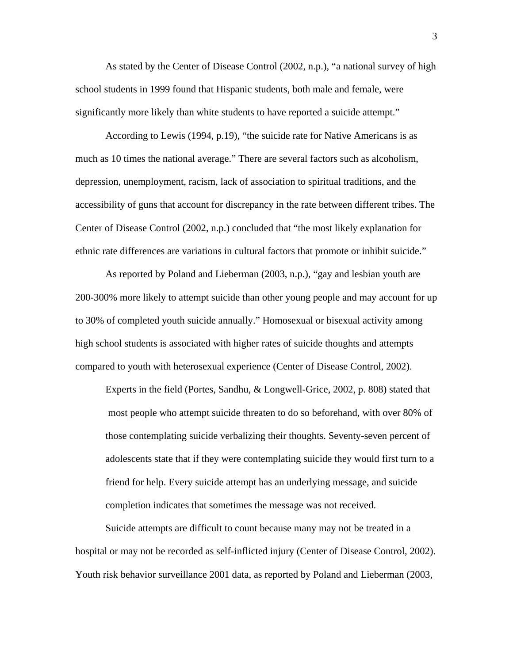As stated by the Center of Disease Control (2002, n.p.), "a national survey of high school students in 1999 found that Hispanic students, both male and female, were significantly more likely than white students to have reported a suicide attempt."

According to Lewis (1994, p.19), "the suicide rate for Native Americans is as much as 10 times the national average." There are several factors such as alcoholism, depression, unemployment, racism, lack of association to spiritual traditions, and the accessibility of guns that account for discrepancy in the rate between different tribes. The Center of Disease Control (2002, n.p.) concluded that "the most likely explanation for ethnic rate differences are variations in cultural factors that promote or inhibit suicide."

As reported by Poland and Lieberman (2003, n.p.), "gay and lesbian youth are 200-300% more likely to attempt suicide than other young people and may account for up to 30% of completed youth suicide annually." Homosexual or bisexual activity among high school students is associated with higher rates of suicide thoughts and attempts compared to youth with heterosexual experience (Center of Disease Control, 2002).

Experts in the field (Portes, Sandhu, & Longwell-Grice, 2002, p. 808) stated that most people who attempt suicide threaten to do so beforehand, with over 80% of those contemplating suicide verbalizing their thoughts. Seventy-seven percent of adolescents state that if they were contemplating suicide they would first turn to a friend for help. Every suicide attempt has an underlying message, and suicide completion indicates that sometimes the message was not received.

Suicide attempts are difficult to count because many may not be treated in a hospital or may not be recorded as self-inflicted injury (Center of Disease Control, 2002). Youth risk behavior surveillance 2001 data, as reported by Poland and Lieberman (2003,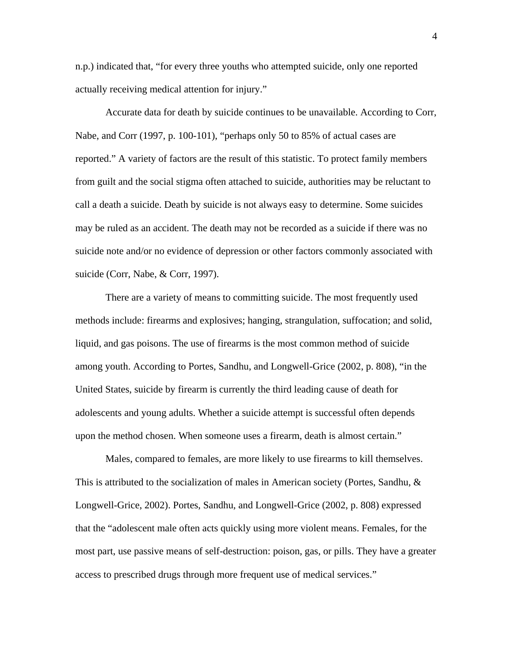n.p.) indicated that, "for every three youths who attempted suicide, only one reported actually receiving medical attention for injury."

Accurate data for death by suicide continues to be unavailable. According to Corr, Nabe, and Corr (1997, p. 100-101), "perhaps only 50 to 85% of actual cases are reported." A variety of factors are the result of this statistic. To protect family members from guilt and the social stigma often attached to suicide, authorities may be reluctant to call a death a suicide. Death by suicide is not always easy to determine. Some suicides may be ruled as an accident. The death may not be recorded as a suicide if there was no suicide note and/or no evidence of depression or other factors commonly associated with suicide (Corr, Nabe, & Corr, 1997).

There are a variety of means to committing suicide. The most frequently used methods include: firearms and explosives; hanging, strangulation, suffocation; and solid, liquid, and gas poisons. The use of firearms is the most common method of suicide among youth. According to Portes, Sandhu, and Longwell-Grice (2002, p. 808), "in the United States, suicide by firearm is currently the third leading cause of death for adolescents and young adults. Whether a suicide attempt is successful often depends upon the method chosen. When someone uses a firearm, death is almost certain."

Males, compared to females, are more likely to use firearms to kill themselves. This is attributed to the socialization of males in American society (Portes, Sandhu,  $\&$ Longwell-Grice, 2002). Portes, Sandhu, and Longwell-Grice (2002, p. 808) expressed that the "adolescent male often acts quickly using more violent means. Females, for the most part, use passive means of self-destruction: poison, gas, or pills. They have a greater access to prescribed drugs through more frequent use of medical services."

4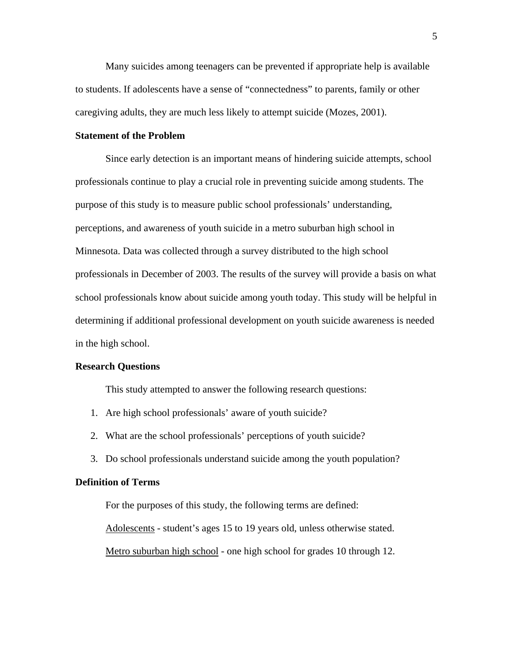Many suicides among teenagers can be prevented if appropriate help is available to students. If adolescents have a sense of "connectedness" to parents, family or other caregiving adults, they are much less likely to attempt suicide (Mozes, 2001).

#### **Statement of the Problem**

Since early detection is an important means of hindering suicide attempts, school professionals continue to play a crucial role in preventing suicide among students. The purpose of this study is to measure public school professionals' understanding, perceptions, and awareness of youth suicide in a metro suburban high school in Minnesota. Data was collected through a survey distributed to the high school professionals in December of 2003. The results of the survey will provide a basis on what school professionals know about suicide among youth today. This study will be helpful in determining if additional professional development on youth suicide awareness is needed in the high school.

#### **Research Questions**

This study attempted to answer the following research questions:

- 1. Are high school professionals' aware of youth suicide?
- 2. What are the school professionals' perceptions of youth suicide?
- 3. Do school professionals understand suicide among the youth population?

#### **Definition of Terms**

 For the purposes of this study, the following terms are defined: Adolescents - student's ages 15 to 19 years old, unless otherwise stated. Metro suburban high school - one high school for grades 10 through 12.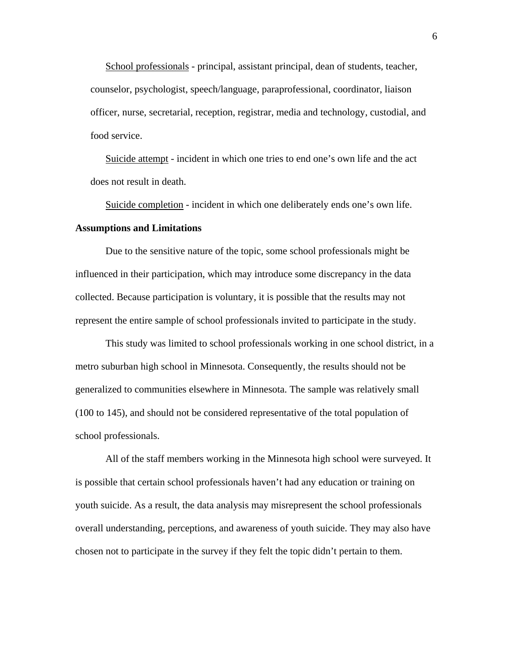School professionals - principal, assistant principal, dean of students, teacher, counselor, psychologist, speech/language, paraprofessional, coordinator, liaison officer, nurse, secretarial, reception, registrar, media and technology, custodial, and food service.

Suicide attempt - incident in which one tries to end one's own life and the act does not result in death.

Suicide completion - incident in which one deliberately ends one's own life. **Assumptions and Limitations** 

Due to the sensitive nature of the topic, some school professionals might be influenced in their participation, which may introduce some discrepancy in the data collected. Because participation is voluntary, it is possible that the results may not represent the entire sample of school professionals invited to participate in the study.

This study was limited to school professionals working in one school district, in a metro suburban high school in Minnesota. Consequently, the results should not be generalized to communities elsewhere in Minnesota. The sample was relatively small (100 to 145), and should not be considered representative of the total population of school professionals.

All of the staff members working in the Minnesota high school were surveyed. It is possible that certain school professionals haven't had any education or training on youth suicide. As a result, the data analysis may misrepresent the school professionals overall understanding, perceptions, and awareness of youth suicide. They may also have chosen not to participate in the survey if they felt the topic didn't pertain to them.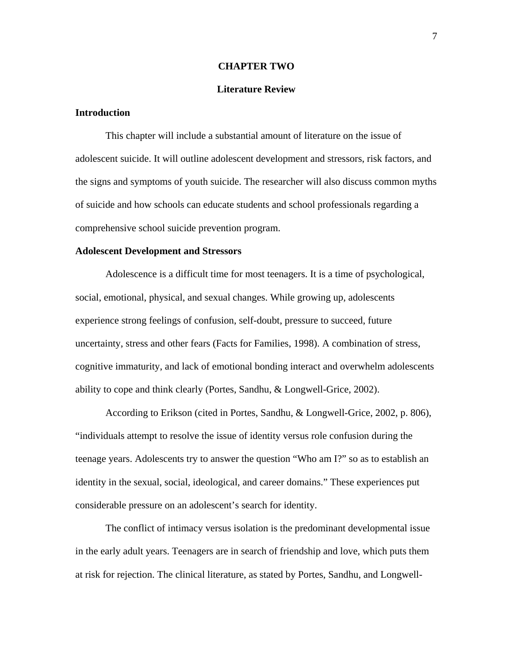#### **CHAPTER TWO**

#### **Literature Review**

## **Introduction**

This chapter will include a substantial amount of literature on the issue of adolescent suicide. It will outline adolescent development and stressors, risk factors, and the signs and symptoms of youth suicide. The researcher will also discuss common myths of suicide and how schools can educate students and school professionals regarding a comprehensive school suicide prevention program.

#### **Adolescent Development and Stressors**

Adolescence is a difficult time for most teenagers. It is a time of psychological, social, emotional, physical, and sexual changes. While growing up, adolescents experience strong feelings of confusion, self-doubt, pressure to succeed, future uncertainty, stress and other fears (Facts for Families, 1998). A combination of stress, cognitive immaturity, and lack of emotional bonding interact and overwhelm adolescents ability to cope and think clearly (Portes, Sandhu, & Longwell-Grice, 2002).

According to Erikson (cited in Portes, Sandhu, & Longwell-Grice, 2002, p. 806), "individuals attempt to resolve the issue of identity versus role confusion during the teenage years. Adolescents try to answer the question "Who am I?" so as to establish an identity in the sexual, social, ideological, and career domains." These experiences put considerable pressure on an adolescent's search for identity.

 The conflict of intimacy versus isolation is the predominant developmental issue in the early adult years. Teenagers are in search of friendship and love, which puts them at risk for rejection. The clinical literature, as stated by Portes, Sandhu, and Longwell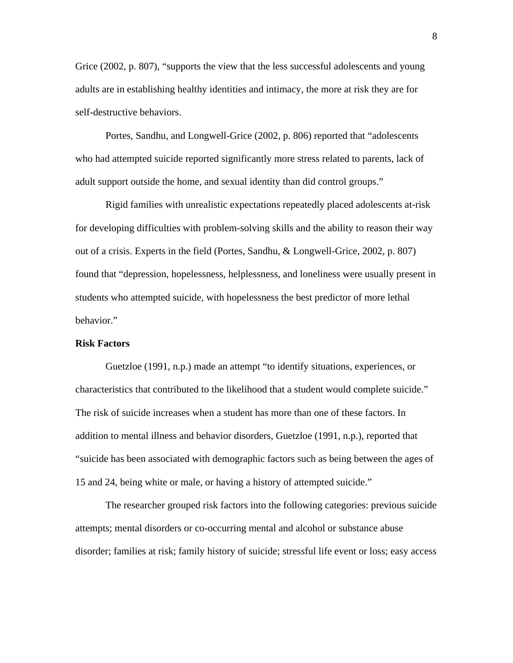Grice (2002, p. 807), "supports the view that the less successful adolescents and young adults are in establishing healthy identities and intimacy, the more at risk they are for self-destructive behaviors.

Portes, Sandhu, and Longwell-Grice (2002, p. 806) reported that "adolescents who had attempted suicide reported significantly more stress related to parents, lack of adult support outside the home, and sexual identity than did control groups."

Rigid families with unrealistic expectations repeatedly placed adolescents at-risk for developing difficulties with problem-solving skills and the ability to reason their way out of a crisis. Experts in the field (Portes, Sandhu, & Longwell-Grice, 2002, p. 807) found that "depression, hopelessness, helplessness, and loneliness were usually present in students who attempted suicide, with hopelessness the best predictor of more lethal behavior."

#### **Risk Factors**

Guetzloe (1991, n.p.) made an attempt "to identify situations, experiences, or characteristics that contributed to the likelihood that a student would complete suicide." The risk of suicide increases when a student has more than one of these factors. In addition to mental illness and behavior disorders, Guetzloe (1991, n.p.), reported that "suicide has been associated with demographic factors such as being between the ages of 15 and 24, being white or male, or having a history of attempted suicide."

The researcher grouped risk factors into the following categories: previous suicide attempts; mental disorders or co-occurring mental and alcohol or substance abuse disorder; families at risk; family history of suicide; stressful life event or loss; easy access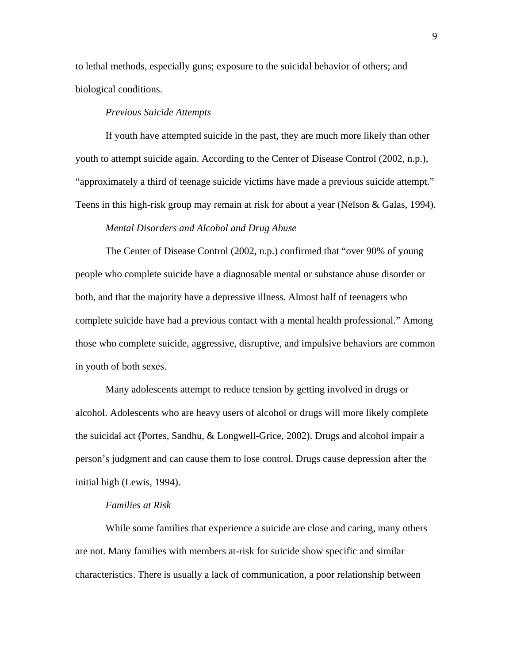to lethal methods, especially guns; exposure to the suicidal behavior of others; and biological conditions.

#### *Previous Suicide Attempts*

If youth have attempted suicide in the past, they are much more likely than other youth to attempt suicide again. According to the Center of Disease Control (2002, n.p.), "approximately a third of teenage suicide victims have made a previous suicide attempt." Teens in this high-risk group may remain at risk for about a year (Nelson & Galas, 1994).

#### *Mental Disorders and Alcohol and Drug Abuse*

The Center of Disease Control (2002, n.p.) confirmed that "over 90% of young people who complete suicide have a diagnosable mental or substance abuse disorder or both, and that the majority have a depressive illness. Almost half of teenagers who complete suicide have had a previous contact with a mental health professional." Among those who complete suicide, aggressive, disruptive, and impulsive behaviors are common in youth of both sexes.

Many adolescents attempt to reduce tension by getting involved in drugs or alcohol. Adolescents who are heavy users of alcohol or drugs will more likely complete the suicidal act (Portes, Sandhu, & Longwell-Grice, 2002). Drugs and alcohol impair a person's judgment and can cause them to lose control. Drugs cause depression after the initial high (Lewis, 1994).

#### *Families at Risk*

While some families that experience a suicide are close and caring, many others are not. Many families with members at-risk for suicide show specific and similar characteristics. There is usually a lack of communication, a poor relationship between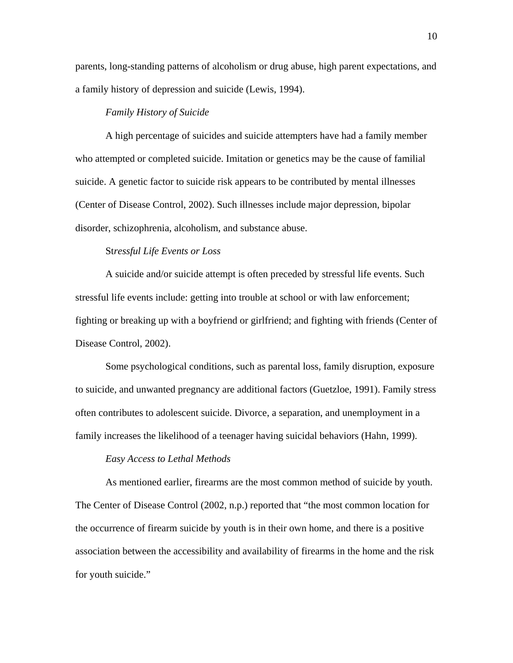parents, long-standing patterns of alcoholism or drug abuse, high parent expectations, and a family history of depression and suicide (Lewis, 1994).

#### *Family History of Suicide*

A high percentage of suicides and suicide attempters have had a family member who attempted or completed suicide. Imitation or genetics may be the cause of familial suicide. A genetic factor to suicide risk appears to be contributed by mental illnesses (Center of Disease Control, 2002). Such illnesses include major depression, bipolar disorder, schizophrenia, alcoholism, and substance abuse.

#### St*ressful Life Events or Loss*

A suicide and/or suicide attempt is often preceded by stressful life events. Such stressful life events include: getting into trouble at school or with law enforcement; fighting or breaking up with a boyfriend or girlfriend; and fighting with friends (Center of Disease Control, 2002).

Some psychological conditions, such as parental loss, family disruption, exposure to suicide, and unwanted pregnancy are additional factors (Guetzloe, 1991). Family stress often contributes to adolescent suicide. Divorce, a separation, and unemployment in a family increases the likelihood of a teenager having suicidal behaviors (Hahn, 1999).

#### *Easy Access to Lethal Methods*

As mentioned earlier, firearms are the most common method of suicide by youth. The Center of Disease Control (2002, n.p.) reported that "the most common location for the occurrence of firearm suicide by youth is in their own home, and there is a positive association between the accessibility and availability of firearms in the home and the risk for youth suicide."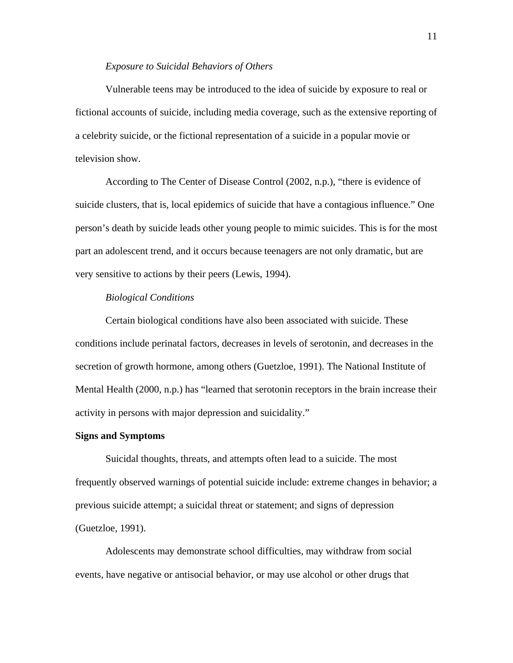#### *Exposure to Suicidal Behaviors of Others*

Vulnerable teens may be introduced to the idea of suicide by exposure to real or fictional accounts of suicide, including media coverage, such as the extensive reporting of a celebrity suicide, or the fictional representation of a suicide in a popular movie or television show.

According to The Center of Disease Control (2002, n.p.), "there is evidence of suicide clusters, that is, local epidemics of suicide that have a contagious influence." One person's death by suicide leads other young people to mimic suicides. This is for the most part an adolescent trend, and it occurs because teenagers are not only dramatic, but are very sensitive to actions by their peers (Lewis, 1994).

## *Biological Conditions*

Certain biological conditions have also been associated with suicide. These conditions include perinatal factors, decreases in levels of serotonin, and decreases in the secretion of growth hormone, among others (Guetzloe, 1991). The National Institute of Mental Health (2000, n.p.) has "learned that serotonin receptors in the brain increase their activity in persons with major depression and suicidality."

#### **Signs and Symptoms**

Suicidal thoughts, threats, and attempts often lead to a suicide. The most frequently observed warnings of potential suicide include: extreme changes in behavior; a previous suicide attempt; a suicidal threat or statement; and signs of depression (Guetzloe, 1991).

Adolescents may demonstrate school difficulties, may withdraw from social events, have negative or antisocial behavior, or may use alcohol or other drugs that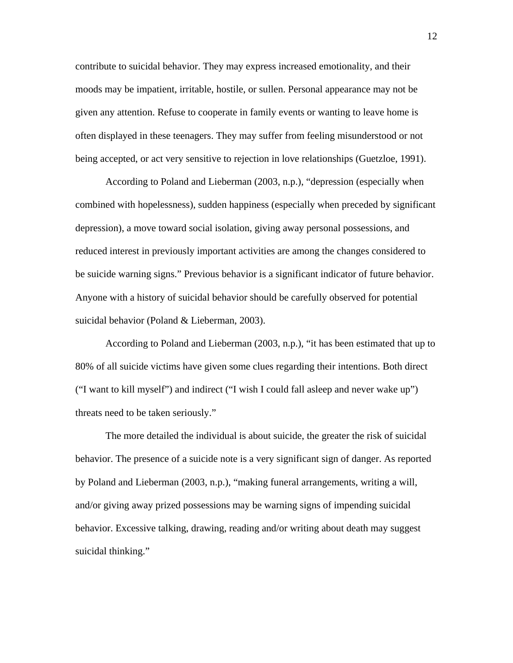contribute to suicidal behavior. They may express increased emotionality, and their moods may be impatient, irritable, hostile, or sullen. Personal appearance may not be given any attention. Refuse to cooperate in family events or wanting to leave home is often displayed in these teenagers. They may suffer from feeling misunderstood or not being accepted, or act very sensitive to rejection in love relationships (Guetzloe, 1991).

According to Poland and Lieberman (2003, n.p.), "depression (especially when combined with hopelessness), sudden happiness (especially when preceded by significant depression), a move toward social isolation, giving away personal possessions, and reduced interest in previously important activities are among the changes considered to be suicide warning signs." Previous behavior is a significant indicator of future behavior. Anyone with a history of suicidal behavior should be carefully observed for potential suicidal behavior (Poland & Lieberman, 2003).

According to Poland and Lieberman (2003, n.p.), "it has been estimated that up to 80% of all suicide victims have given some clues regarding their intentions. Both direct ("I want to kill myself") and indirect ("I wish I could fall asleep and never wake up") threats need to be taken seriously."

The more detailed the individual is about suicide, the greater the risk of suicidal behavior. The presence of a suicide note is a very significant sign of danger. As reported by Poland and Lieberman (2003, n.p.), "making funeral arrangements, writing a will, and/or giving away prized possessions may be warning signs of impending suicidal behavior. Excessive talking, drawing, reading and/or writing about death may suggest suicidal thinking."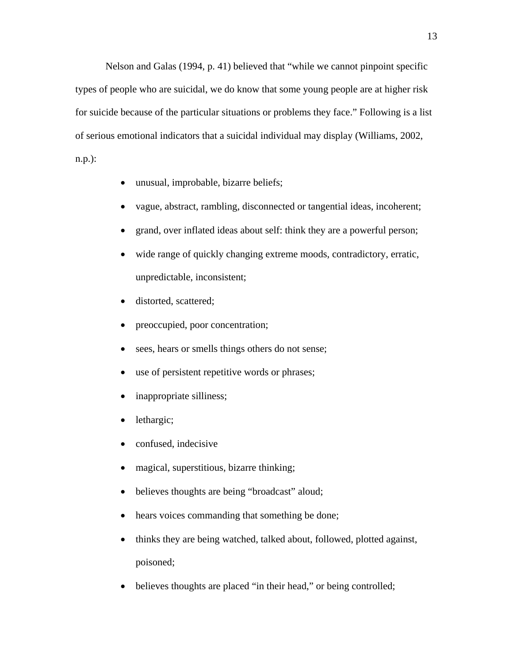Nelson and Galas (1994, p. 41) believed that "while we cannot pinpoint specific types of people who are suicidal, we do know that some young people are at higher risk for suicide because of the particular situations or problems they face." Following is a list of serious emotional indicators that a suicidal individual may display (Williams, 2002,

n.p.):

- unusual, improbable, bizarre beliefs;
- vague, abstract, rambling, disconnected or tangential ideas, incoherent;
- grand, over inflated ideas about self: think they are a powerful person;
- wide range of quickly changing extreme moods, contradictory, erratic, unpredictable, inconsistent;
- distorted, scattered;
- preoccupied, poor concentration;
- sees, hears or smells things others do not sense;
- use of persistent repetitive words or phrases;
- inappropriate silliness;
- lethargic;
- confused, indecisive
- magical, superstitious, bizarre thinking;
- believes thoughts are being "broadcast" aloud;
- hears voices commanding that something be done;
- thinks they are being watched, talked about, followed, plotted against, poisoned;
- believes thoughts are placed "in their head," or being controlled;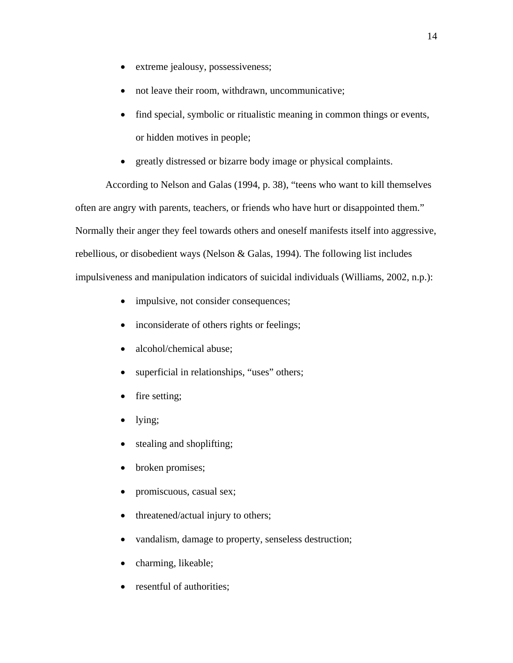- extreme jealousy, possessiveness;
- not leave their room, withdrawn, uncommunicative;
- find special, symbolic or ritualistic meaning in common things or events, or hidden motives in people;
- greatly distressed or bizarre body image or physical complaints.

According to Nelson and Galas (1994, p. 38), "teens who want to kill themselves often are angry with parents, teachers, or friends who have hurt or disappointed them." Normally their anger they feel towards others and oneself manifests itself into aggressive, rebellious, or disobedient ways (Nelson  $&$  Galas, 1994). The following list includes impulsiveness and manipulation indicators of suicidal individuals (Williams, 2002, n.p.):

- impulsive, not consider consequences;
- inconsiderate of others rights or feelings;
- alcohol/chemical abuse;
- superficial in relationships, "uses" others;
- fire setting;
- lying;
- stealing and shoplifting;
- broken promises;
- promiscuous, casual sex;
- threatened/actual injury to others;
- vandalism, damage to property, senseless destruction;
- charming, likeable;
- resentful of authorities;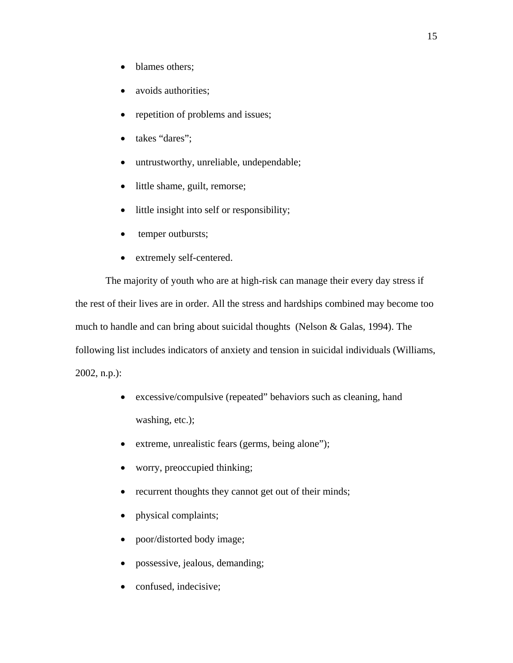- blames others;
- avoids authorities;
- repetition of problems and issues;
- takes "dares";
- untrustworthy, unreliable, undependable;
- little shame, guilt, remorse;
- little insight into self or responsibility;
- temper outbursts;
- extremely self-centered.

The majority of youth who are at high-risk can manage their every day stress if the rest of their lives are in order. All the stress and hardships combined may become too much to handle and can bring about suicidal thoughts (Nelson & Galas, 1994). The following list includes indicators of anxiety and tension in suicidal individuals (Williams, 2002, n.p.):

- excessive/compulsive (repeated" behaviors such as cleaning, hand washing, etc.);
- extreme, unrealistic fears (germs, being alone");
- worry, preoccupied thinking;
- recurrent thoughts they cannot get out of their minds;
- physical complaints;
- poor/distorted body image;
- possessive, jealous, demanding;
- confused, indecisive;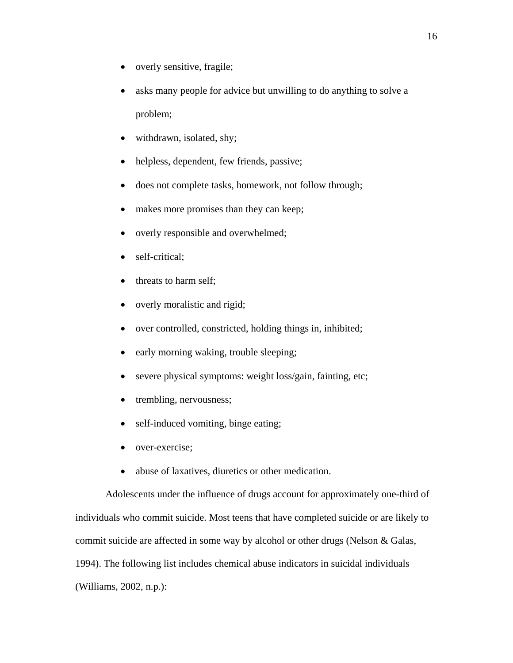- overly sensitive, fragile;
- asks many people for advice but unwilling to do anything to solve a problem;
- withdrawn, isolated, shy;
- helpless, dependent, few friends, passive;
- does not complete tasks, homework, not follow through;
- makes more promises than they can keep;
- overly responsible and overwhelmed;
- self-critical;
- threats to harm self;
- overly moralistic and rigid;
- over controlled, constricted, holding things in, inhibited;
- early morning waking, trouble sleeping;
- severe physical symptoms: weight loss/gain, fainting, etc;
- trembling, nervousness;
- self-induced vomiting, binge eating;
- over-exercise:
- abuse of laxatives, diuretics or other medication.

Adolescents under the influence of drugs account for approximately one-third of individuals who commit suicide. Most teens that have completed suicide or are likely to commit suicide are affected in some way by alcohol or other drugs (Nelson & Galas, 1994). The following list includes chemical abuse indicators in suicidal individuals (Williams, 2002, n.p.):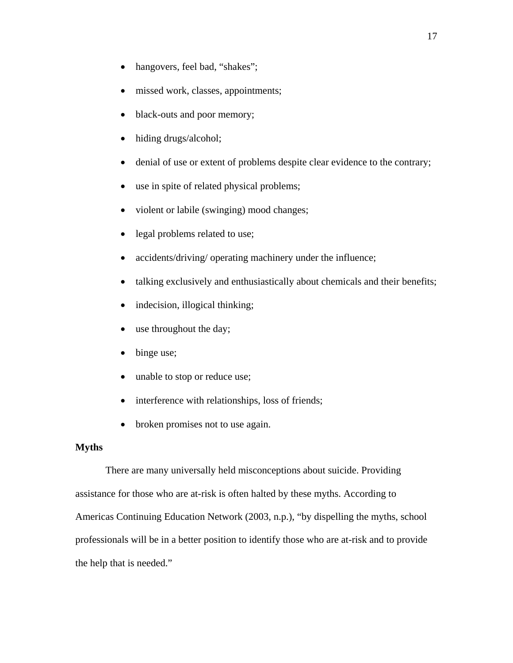- hangovers, feel bad, "shakes";
- missed work, classes, appointments;
- black-outs and poor memory;
- hiding drugs/alcohol;
- denial of use or extent of problems despite clear evidence to the contrary;
- use in spite of related physical problems;
- violent or labile (swinging) mood changes;
- legal problems related to use;
- accidents/driving/ operating machinery under the influence;
- talking exclusively and enthusiastically about chemicals and their benefits;
- indecision, illogical thinking;
- use throughout the day;
- binge use;
- unable to stop or reduce use;
- interference with relationships, loss of friends;
- broken promises not to use again.

## **Myths**

 There are many universally held misconceptions about suicide. Providing assistance for those who are at-risk is often halted by these myths. According to Americas Continuing Education Network (2003, n.p.), "by dispelling the myths, school professionals will be in a better position to identify those who are at-risk and to provide the help that is needed."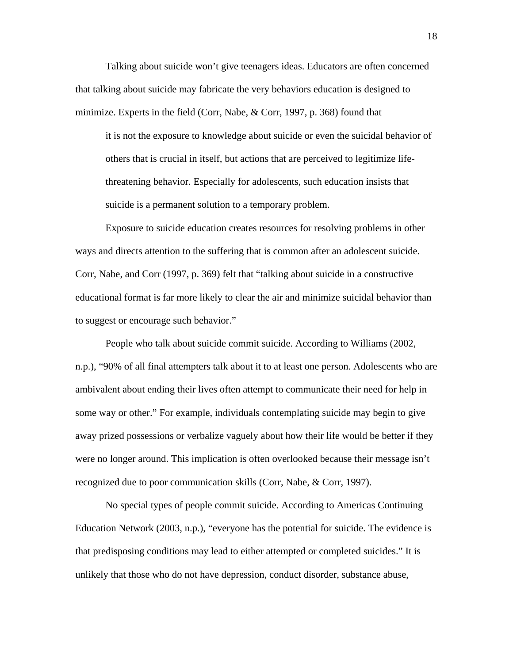Talking about suicide won't give teenagers ideas. Educators are often concerned that talking about suicide may fabricate the very behaviors education is designed to minimize. Experts in the field (Corr, Nabe, & Corr, 1997, p. 368) found that

it is not the exposure to knowledge about suicide or even the suicidal behavior of others that is crucial in itself, but actions that are perceived to legitimize lifethreatening behavior. Especially for adolescents, such education insists that suicide is a permanent solution to a temporary problem.

Exposure to suicide education creates resources for resolving problems in other ways and directs attention to the suffering that is common after an adolescent suicide. Corr, Nabe, and Corr (1997, p. 369) felt that "talking about suicide in a constructive educational format is far more likely to clear the air and minimize suicidal behavior than to suggest or encourage such behavior."

 People who talk about suicide commit suicide. According to Williams (2002, n.p.), "90% of all final attempters talk about it to at least one person. Adolescents who are ambivalent about ending their lives often attempt to communicate their need for help in some way or other." For example, individuals contemplating suicide may begin to give away prized possessions or verbalize vaguely about how their life would be better if they were no longer around. This implication is often overlooked because their message isn't recognized due to poor communication skills (Corr, Nabe, & Corr, 1997).

 No special types of people commit suicide. According to Americas Continuing Education Network (2003, n.p.), "everyone has the potential for suicide. The evidence is that predisposing conditions may lead to either attempted or completed suicides." It is unlikely that those who do not have depression, conduct disorder, substance abuse,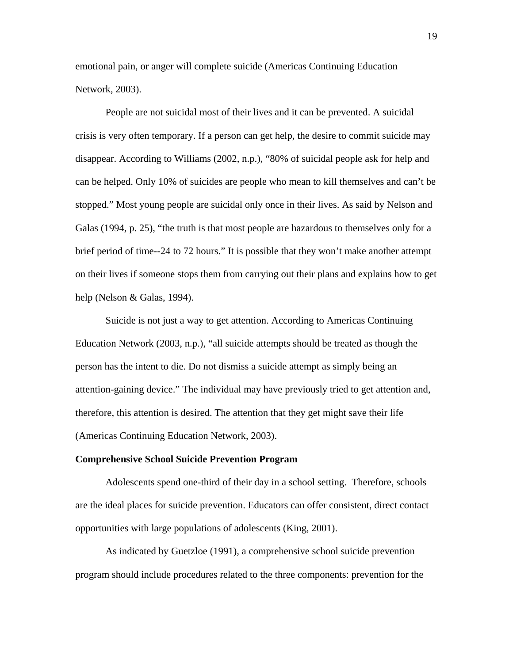emotional pain, or anger will complete suicide (Americas Continuing Education Network, 2003).

People are not suicidal most of their lives and it can be prevented. A suicidal crisis is very often temporary. If a person can get help, the desire to commit suicide may disappear. According to Williams (2002, n.p.), "80% of suicidal people ask for help and can be helped. Only 10% of suicides are people who mean to kill themselves and can't be stopped." Most young people are suicidal only once in their lives. As said by Nelson and Galas (1994, p. 25), "the truth is that most people are hazardous to themselves only for a brief period of time--24 to 72 hours." It is possible that they won't make another attempt on their lives if someone stops them from carrying out their plans and explains how to get help (Nelson & Galas, 1994).

Suicide is not just a way to get attention. According to Americas Continuing Education Network (2003, n.p.), "all suicide attempts should be treated as though the person has the intent to die. Do not dismiss a suicide attempt as simply being an attention-gaining device." The individual may have previously tried to get attention and, therefore, this attention is desired. The attention that they get might save their life (Americas Continuing Education Network, 2003).

#### **Comprehensive School Suicide Prevention Program**

Adolescents spend one-third of their day in a school setting. Therefore, schools are the ideal places for suicide prevention. Educators can offer consistent, direct contact opportunities with large populations of adolescents (King, 2001).

As indicated by Guetzloe (1991), a comprehensive school suicide prevention program should include procedures related to the three components: prevention for the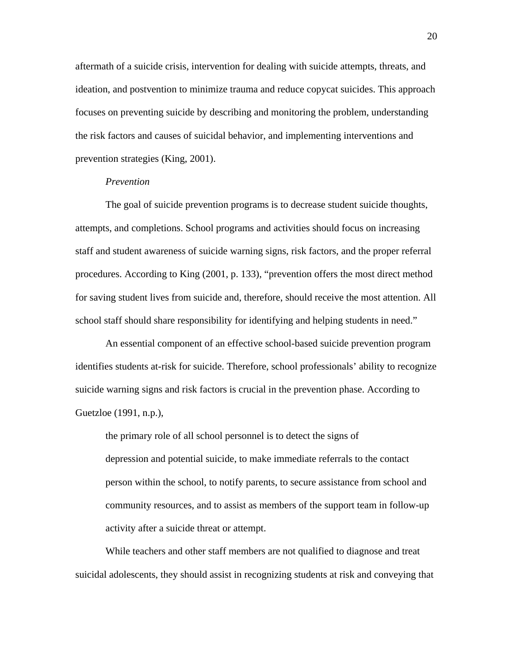aftermath of a suicide crisis, intervention for dealing with suicide attempts, threats, and ideation, and postvention to minimize trauma and reduce copycat suicides. This approach focuses on preventing suicide by describing and monitoring the problem, understanding the risk factors and causes of suicidal behavior, and implementing interventions and prevention strategies (King, 2001).

#### *Prevention*

 The goal of suicide prevention programs is to decrease student suicide thoughts, attempts, and completions. School programs and activities should focus on increasing staff and student awareness of suicide warning signs, risk factors, and the proper referral procedures. According to King (2001, p. 133), "prevention offers the most direct method for saving student lives from suicide and, therefore, should receive the most attention. All school staff should share responsibility for identifying and helping students in need."

An essential component of an effective school-based suicide prevention program identifies students at-risk for suicide. Therefore, school professionals' ability to recognize suicide warning signs and risk factors is crucial in the prevention phase. According to Guetzloe (1991, n.p.),

the primary role of all school personnel is to detect the signs of depression and potential suicide, to make immediate referrals to the contact person within the school, to notify parents, to secure assistance from school and community resources, and to assist as members of the support team in follow-up activity after a suicide threat or attempt.

While teachers and other staff members are not qualified to diagnose and treat suicidal adolescents, they should assist in recognizing students at risk and conveying that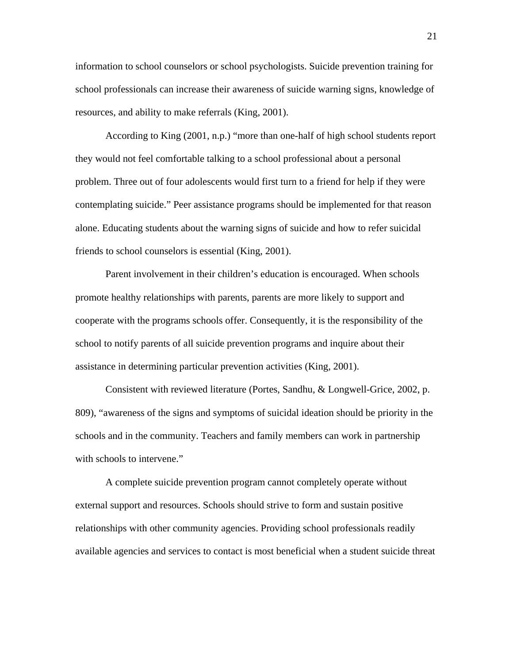information to school counselors or school psychologists. Suicide prevention training for school professionals can increase their awareness of suicide warning signs, knowledge of resources, and ability to make referrals (King, 2001).

According to King (2001, n.p.) "more than one-half of high school students report they would not feel comfortable talking to a school professional about a personal problem. Three out of four adolescents would first turn to a friend for help if they were contemplating suicide." Peer assistance programs should be implemented for that reason alone. Educating students about the warning signs of suicide and how to refer suicidal friends to school counselors is essential (King, 2001).

Parent involvement in their children's education is encouraged. When schools promote healthy relationships with parents, parents are more likely to support and cooperate with the programs schools offer. Consequently, it is the responsibility of the school to notify parents of all suicide prevention programs and inquire about their assistance in determining particular prevention activities (King, 2001).

Consistent with reviewed literature (Portes, Sandhu, & Longwell-Grice, 2002, p. 809), "awareness of the signs and symptoms of suicidal ideation should be priority in the schools and in the community. Teachers and family members can work in partnership with schools to intervene."

A complete suicide prevention program cannot completely operate without external support and resources. Schools should strive to form and sustain positive relationships with other community agencies. Providing school professionals readily available agencies and services to contact is most beneficial when a student suicide threat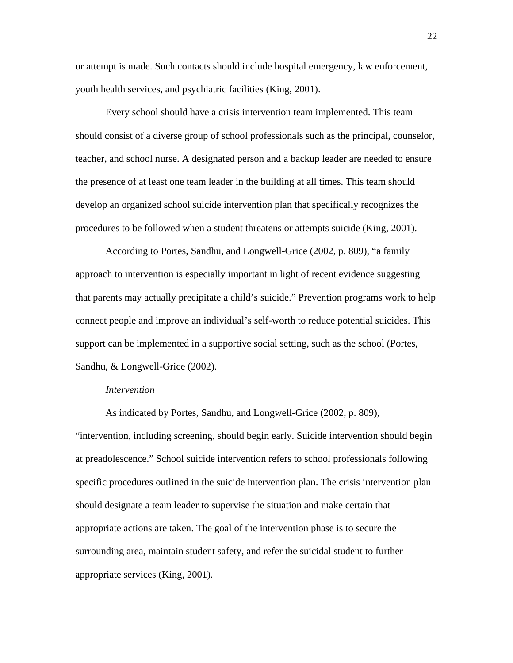or attempt is made. Such contacts should include hospital emergency, law enforcement, youth health services, and psychiatric facilities (King, 2001).

Every school should have a crisis intervention team implemented. This team should consist of a diverse group of school professionals such as the principal, counselor, teacher, and school nurse. A designated person and a backup leader are needed to ensure the presence of at least one team leader in the building at all times. This team should develop an organized school suicide intervention plan that specifically recognizes the procedures to be followed when a student threatens or attempts suicide (King, 2001).

According to Portes, Sandhu, and Longwell-Grice (2002, p. 809), "a family approach to intervention is especially important in light of recent evidence suggesting that parents may actually precipitate a child's suicide." Prevention programs work to help connect people and improve an individual's self-worth to reduce potential suicides. This support can be implemented in a supportive social setting, such as the school (Portes, Sandhu, & Longwell-Grice (2002).

#### *Intervention*

As indicated by Portes, Sandhu, and Longwell-Grice (2002, p. 809), "intervention, including screening, should begin early. Suicide intervention should begin at preadolescence." School suicide intervention refers to school professionals following specific procedures outlined in the suicide intervention plan. The crisis intervention plan should designate a team leader to supervise the situation and make certain that appropriate actions are taken. The goal of the intervention phase is to secure the surrounding area, maintain student safety, and refer the suicidal student to further appropriate services (King, 2001).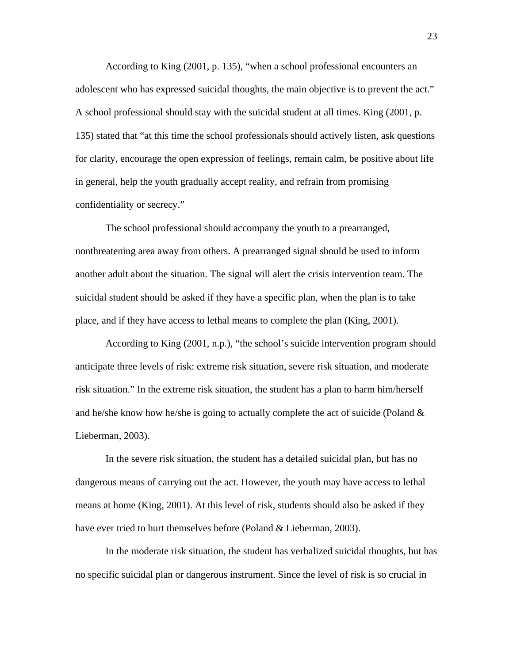According to King (2001, p. 135), "when a school professional encounters an adolescent who has expressed suicidal thoughts, the main objective is to prevent the act." A school professional should stay with the suicidal student at all times. King (2001, p. 135) stated that "at this time the school professionals should actively listen, ask questions for clarity, encourage the open expression of feelings, remain calm, be positive about life in general, help the youth gradually accept reality, and refrain from promising confidentiality or secrecy."

The school professional should accompany the youth to a prearranged, nonthreatening area away from others. A prearranged signal should be used to inform another adult about the situation. The signal will alert the crisis intervention team. The suicidal student should be asked if they have a specific plan, when the plan is to take place, and if they have access to lethal means to complete the plan (King, 2001).

According to King (2001, n.p.), "the school's suicide intervention program should anticipate three levels of risk: extreme risk situation, severe risk situation, and moderate risk situation." In the extreme risk situation, the student has a plan to harm him/herself and he/she know how he/she is going to actually complete the act of suicide (Poland  $\&$ Lieberman, 2003).

In the severe risk situation, the student has a detailed suicidal plan, but has no dangerous means of carrying out the act. However, the youth may have access to lethal means at home (King, 2001). At this level of risk, students should also be asked if they have ever tried to hurt themselves before (Poland & Lieberman, 2003).

In the moderate risk situation, the student has verbalized suicidal thoughts, but has no specific suicidal plan or dangerous instrument. Since the level of risk is so crucial in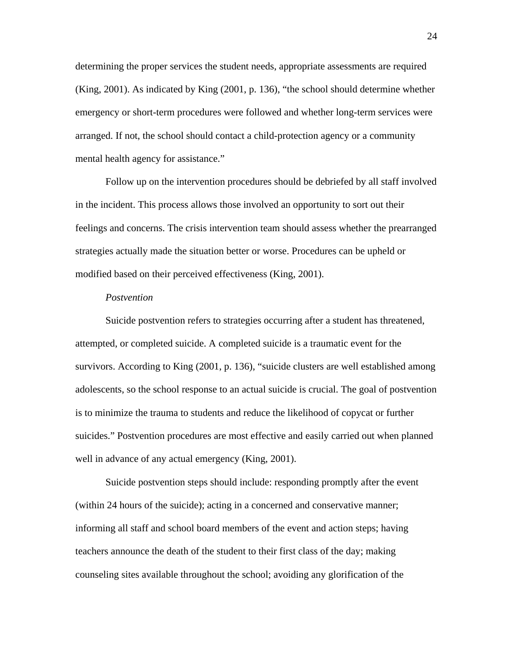determining the proper services the student needs, appropriate assessments are required (King, 2001). As indicated by King (2001, p. 136), "the school should determine whether emergency or short-term procedures were followed and whether long-term services were arranged. If not, the school should contact a child-protection agency or a community mental health agency for assistance."

Follow up on the intervention procedures should be debriefed by all staff involved in the incident. This process allows those involved an opportunity to sort out their feelings and concerns. The crisis intervention team should assess whether the prearranged strategies actually made the situation better or worse. Procedures can be upheld or modified based on their perceived effectiveness (King, 2001).

#### *Postvention*

Suicide postvention refers to strategies occurring after a student has threatened, attempted, or completed suicide. A completed suicide is a traumatic event for the survivors. According to King (2001, p. 136), "suicide clusters are well established among adolescents, so the school response to an actual suicide is crucial. The goal of postvention is to minimize the trauma to students and reduce the likelihood of copycat or further suicides." Postvention procedures are most effective and easily carried out when planned well in advance of any actual emergency (King, 2001).

Suicide postvention steps should include: responding promptly after the event (within 24 hours of the suicide); acting in a concerned and conservative manner; informing all staff and school board members of the event and action steps; having teachers announce the death of the student to their first class of the day; making counseling sites available throughout the school; avoiding any glorification of the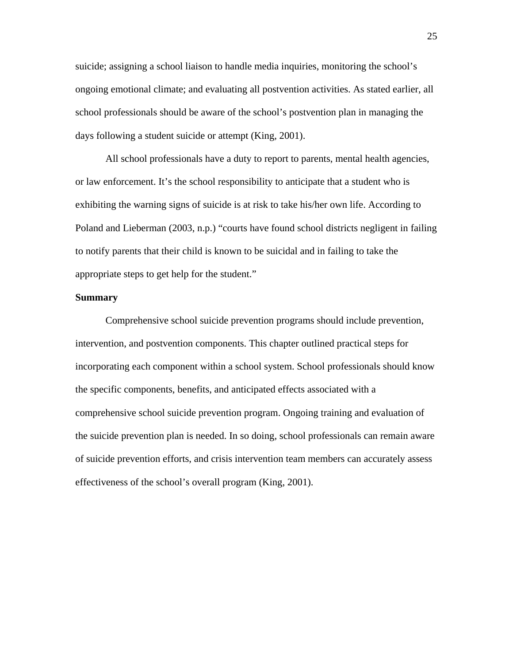suicide; assigning a school liaison to handle media inquiries, monitoring the school's ongoing emotional climate; and evaluating all postvention activities. As stated earlier, all school professionals should be aware of the school's postvention plan in managing the days following a student suicide or attempt (King, 2001).

All school professionals have a duty to report to parents, mental health agencies, or law enforcement. It's the school responsibility to anticipate that a student who is exhibiting the warning signs of suicide is at risk to take his/her own life. According to Poland and Lieberman (2003, n.p.) "courts have found school districts negligent in failing to notify parents that their child is known to be suicidal and in failing to take the appropriate steps to get help for the student."

#### **Summary**

 Comprehensive school suicide prevention programs should include prevention, intervention, and postvention components. This chapter outlined practical steps for incorporating each component within a school system. School professionals should know the specific components, benefits, and anticipated effects associated with a comprehensive school suicide prevention program. Ongoing training and evaluation of the suicide prevention plan is needed. In so doing, school professionals can remain aware of suicide prevention efforts, and crisis intervention team members can accurately assess effectiveness of the school's overall program (King, 2001).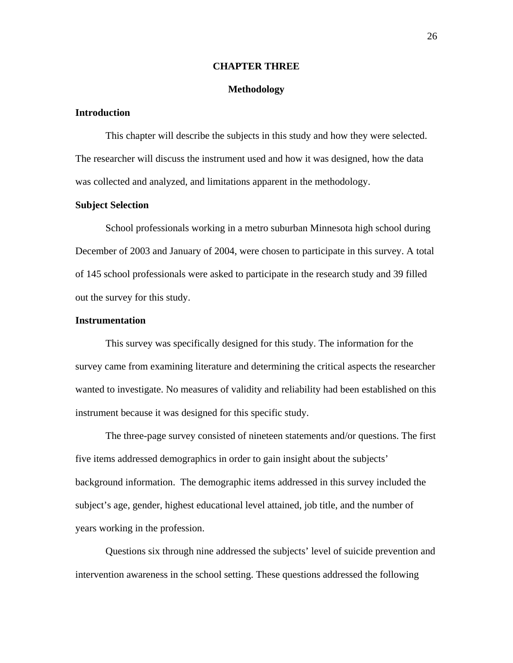#### **CHAPTER THREE**

#### **Methodology**

## **Introduction**

This chapter will describe the subjects in this study and how they were selected. The researcher will discuss the instrument used and how it was designed, how the data was collected and analyzed, and limitations apparent in the methodology.

#### **Subject Selection**

 School professionals working in a metro suburban Minnesota high school during December of 2003 and January of 2004, were chosen to participate in this survey. A total of 145 school professionals were asked to participate in the research study and 39 filled out the survey for this study.

#### **Instrumentation**

This survey was specifically designed for this study. The information for the survey came from examining literature and determining the critical aspects the researcher wanted to investigate. No measures of validity and reliability had been established on this instrument because it was designed for this specific study.

 The three-page survey consisted of nineteen statements and/or questions. The first five items addressed demographics in order to gain insight about the subjects' background information. The demographic items addressed in this survey included the subject's age, gender, highest educational level attained, job title, and the number of years working in the profession.

Questions six through nine addressed the subjects' level of suicide prevention and intervention awareness in the school setting. These questions addressed the following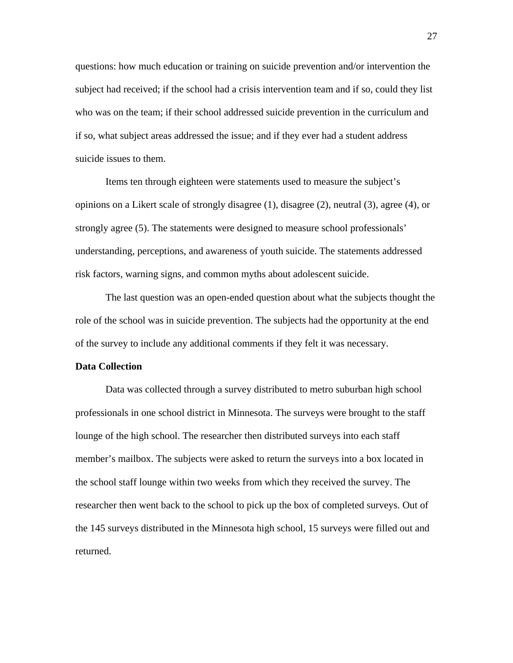questions: how much education or training on suicide prevention and/or intervention the subject had received; if the school had a crisis intervention team and if so, could they list who was on the team; if their school addressed suicide prevention in the curriculum and if so, what subject areas addressed the issue; and if they ever had a student address suicide issues to them.

Items ten through eighteen were statements used to measure the subject's opinions on a Likert scale of strongly disagree (1), disagree (2), neutral (3), agree (4), or strongly agree (5). The statements were designed to measure school professionals' understanding, perceptions, and awareness of youth suicide. The statements addressed risk factors, warning signs, and common myths about adolescent suicide.

The last question was an open-ended question about what the subjects thought the role of the school was in suicide prevention. The subjects had the opportunity at the end of the survey to include any additional comments if they felt it was necessary.

#### **Data Collection**

Data was collected through a survey distributed to metro suburban high school professionals in one school district in Minnesota. The surveys were brought to the staff lounge of the high school. The researcher then distributed surveys into each staff member's mailbox. The subjects were asked to return the surveys into a box located in the school staff lounge within two weeks from which they received the survey. The researcher then went back to the school to pick up the box of completed surveys. Out of the 145 surveys distributed in the Minnesota high school, 15 surveys were filled out and returned.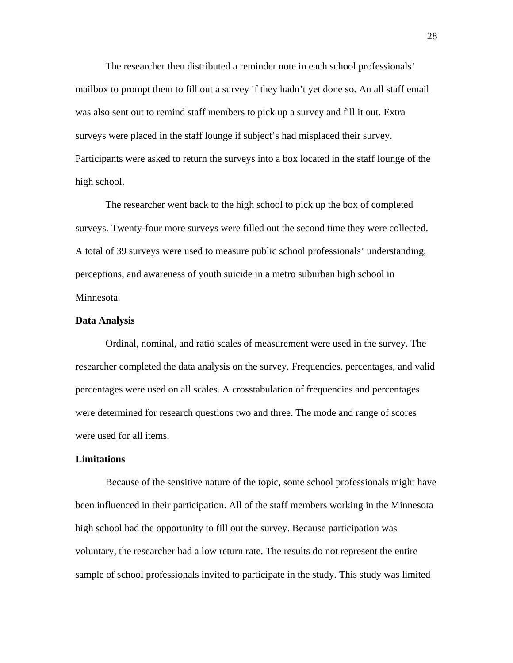The researcher then distributed a reminder note in each school professionals' mailbox to prompt them to fill out a survey if they hadn't yet done so. An all staff email was also sent out to remind staff members to pick up a survey and fill it out. Extra surveys were placed in the staff lounge if subject's had misplaced their survey. Participants were asked to return the surveys into a box located in the staff lounge of the high school.

The researcher went back to the high school to pick up the box of completed surveys. Twenty-four more surveys were filled out the second time they were collected. A total of 39 surveys were used to measure public school professionals' understanding, perceptions, and awareness of youth suicide in a metro suburban high school in Minnesota.

#### **Data Analysis**

 Ordinal, nominal, and ratio scales of measurement were used in the survey. The researcher completed the data analysis on the survey. Frequencies, percentages, and valid percentages were used on all scales. A crosstabulation of frequencies and percentages were determined for research questions two and three. The mode and range of scores were used for all items.

#### **Limitations**

Because of the sensitive nature of the topic, some school professionals might have been influenced in their participation. All of the staff members working in the Minnesota high school had the opportunity to fill out the survey. Because participation was voluntary, the researcher had a low return rate. The results do not represent the entire sample of school professionals invited to participate in the study. This study was limited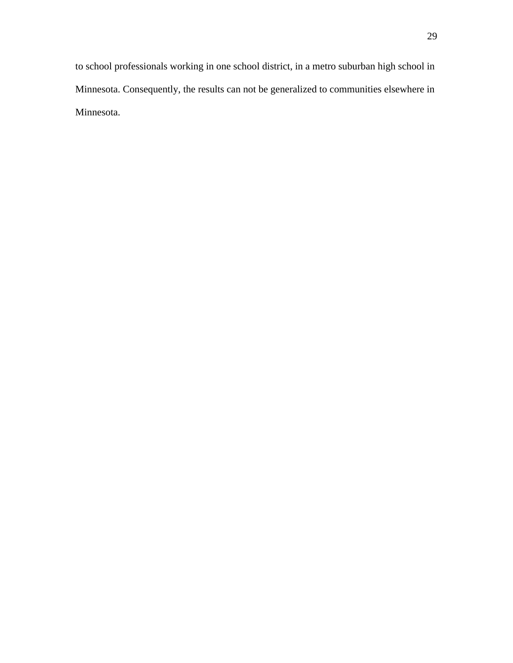to school professionals working in one school district, in a metro suburban high school in Minnesota. Consequently, the results can not be generalized to communities elsewhere in Minnesota.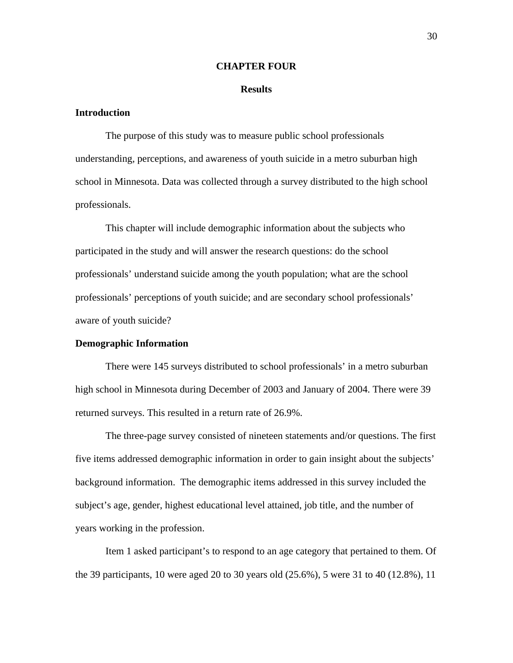#### **CHAPTER FOUR**

#### **Results**

## **Introduction**

The purpose of this study was to measure public school professionals understanding, perceptions, and awareness of youth suicide in a metro suburban high school in Minnesota. Data was collected through a survey distributed to the high school professionals.

This chapter will include demographic information about the subjects who participated in the study and will answer the research questions: do the school professionals' understand suicide among the youth population; what are the school professionals' perceptions of youth suicide; and are secondary school professionals' aware of youth suicide?

#### **Demographic Information**

There were 145 surveys distributed to school professionals' in a metro suburban high school in Minnesota during December of 2003 and January of 2004. There were 39 returned surveys. This resulted in a return rate of 26.9%.

The three-page survey consisted of nineteen statements and/or questions. The first five items addressed demographic information in order to gain insight about the subjects' background information. The demographic items addressed in this survey included the subject's age, gender, highest educational level attained, job title, and the number of years working in the profession.

Item 1 asked participant's to respond to an age category that pertained to them. Of the 39 participants, 10 were aged 20 to 30 years old (25.6%), 5 were 31 to 40 (12.8%), 11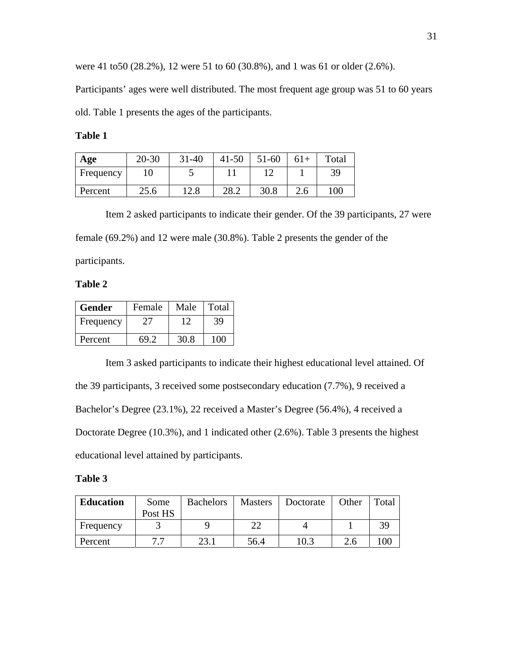were 41 to50 (28.2%), 12 were 51 to 60 (30.8%), and 1 was 61 or older (2.6%).

Participants' ages were well distributed. The most frequent age group was 51 to 60 years old. Table 1 presents the ages of the participants.

**Table 1** 

| Age       | $20 - 30$ | $31 - 40$ | $41 - 50$   | $51-60$ | $61+$ | Total |
|-----------|-----------|-----------|-------------|---------|-------|-------|
| Frequency |           | ັ         |             | 1 ^     |       | 39    |
| Percent   | 25.6      | .4.0      | ററെ<br>20.Z | 30.8    | 2.6   | 100   |

Item 2 asked participants to indicate their gender. Of the 39 participants, 27 were female (69.2%) and 12 were male (30.8%). Table 2 presents the gender of the

participants.

## **Table 2**

| <b>Gender</b> | Female | Male | Total |  |
|---------------|--------|------|-------|--|
| Frequency     | $27-$  | 12   | 39    |  |
| Percent       | 59 D   | 30.8 | ന     |  |

Item 3 asked participants to indicate their highest educational level attained. Of the 39 participants, 3 received some postsecondary education (7.7%), 9 received a Bachelor's Degree (23.1%), 22 received a Master's Degree (56.4%), 4 received a Doctorate Degree (10.3%), and 1 indicated other (2.6%). Table 3 presents the highest educational level attained by participants.

## **Table 3**

| <b>Education</b> | Some<br>Post HS | <b>Bachelors</b> | <b>Masters</b> | Doctorate | Other | Total   |
|------------------|-----------------|------------------|----------------|-----------|-------|---------|
| Frequency        |                 |                  |                |           |       |         |
| Percent          |                 | 23.              | 56.4           | 10.3      | 2.6   | $.00\,$ |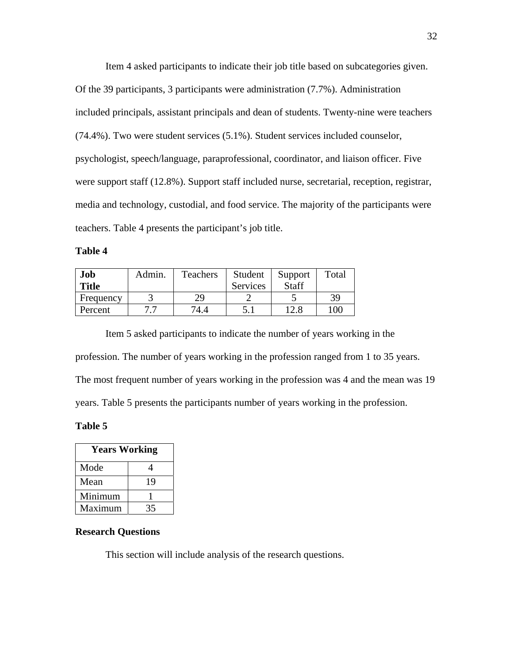Item 4 asked participants to indicate their job title based on subcategories given. Of the 39 participants, 3 participants were administration (7.7%). Administration included principals, assistant principals and dean of students. Twenty-nine were teachers (74.4%). Two were student services (5.1%). Student services included counselor, psychologist, speech/language, paraprofessional, coordinator, and liaison officer. Five were support staff (12.8%). Support staff included nurse, secretarial, reception, registrar, media and technology, custodial, and food service. The majority of the participants were teachers. Table 4 presents the participant's job title.

**Table 4** 

| Job          | Admin. | <b>Teachers</b> | Student  | Support      | Total |
|--------------|--------|-----------------|----------|--------------|-------|
| <b>Title</b> |        |                 | Services | <b>Staff</b> |       |
| Frequency    |        | 29              |          |              | 39    |
| Percent      |        |                 |          | 12.8         | 100   |

Item 5 asked participants to indicate the number of years working in the profession. The number of years working in the profession ranged from 1 to 35 years. The most frequent number of years working in the profession was 4 and the mean was 19 years. Table 5 presents the participants number of years working in the profession.

#### **Table 5**

| <b>Years Working</b> |    |  |  |  |  |
|----------------------|----|--|--|--|--|
| Mode                 | 4  |  |  |  |  |
| Mean                 | 19 |  |  |  |  |
| Minimum              |    |  |  |  |  |
| Maximum              | 35 |  |  |  |  |

## **Research Questions**

This section will include analysis of the research questions.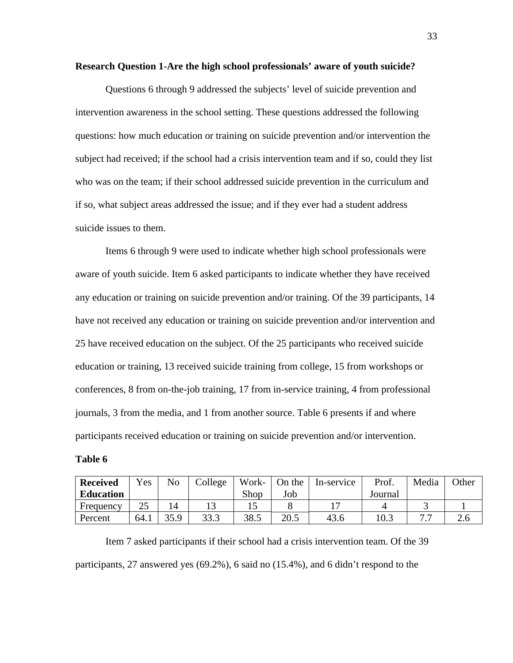#### **Research Question 1-Are the high school professionals' aware of youth suicide?**

Questions 6 through 9 addressed the subjects' level of suicide prevention and intervention awareness in the school setting. These questions addressed the following questions: how much education or training on suicide prevention and/or intervention the subject had received; if the school had a crisis intervention team and if so, could they list who was on the team; if their school addressed suicide prevention in the curriculum and if so, what subject areas addressed the issue; and if they ever had a student address suicide issues to them.

Items 6 through 9 were used to indicate whether high school professionals were aware of youth suicide. Item 6 asked participants to indicate whether they have received any education or training on suicide prevention and/or training. Of the 39 participants, 14 have not received any education or training on suicide prevention and/or intervention and 25 have received education on the subject. Of the 25 participants who received suicide education or training, 13 received suicide training from college, 15 from workshops or conferences, 8 from on-the-job training, 17 from in-service training, 4 from professional journals, 3 from the media, and 1 from another source. Table 6 presents if and where participants received education or training on suicide prevention and/or intervention.

#### **Table 6**

| <b>Received</b>  | Yes      | No              | $\angle$ ollege | Work- | On the | In-service | Prof.   | Media     | <b>Other</b> |
|------------------|----------|-----------------|-----------------|-------|--------|------------|---------|-----------|--------------|
| <b>Education</b> |          |                 |                 | Shop  | Job    |            | Journal |           |              |
| Frequency        | つく<br>∠J | $\overline{14}$ |                 |       |        |            |         |           |              |
| Percent          | 64.1     | 35.9            | 33.3            | 38.5  | 20.5   | 43.6       | 10.3    | $\cdot$ . |              |

Item 7 asked participants if their school had a crisis intervention team. Of the 39 participants, 27 answered yes (69.2%), 6 said no (15.4%), and 6 didn't respond to the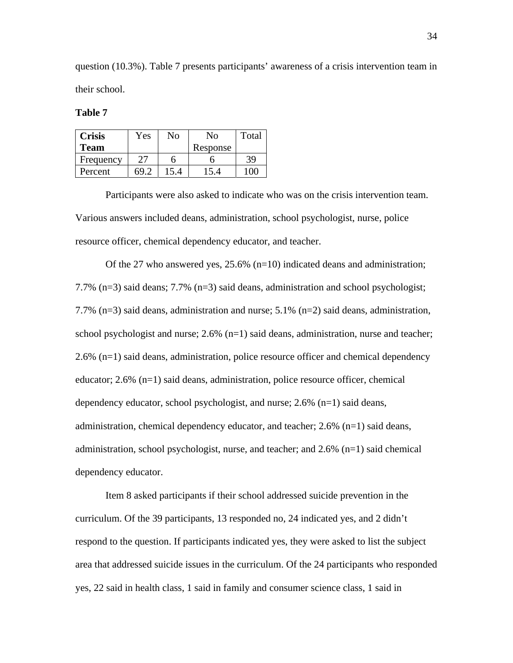question (10.3%). Table 7 presents participants' awareness of a crisis intervention team in their school.

| ×<br>×<br>۰, |  |
|--------------|--|
|--------------|--|

| <b>Crisis</b> | Yes | Nο   | Nο       | Total |
|---------------|-----|------|----------|-------|
| Team          |     |      | Response |       |
| Frequency     |     | n    |          | 39    |
| Percent       |     | 15.4 | 154      |       |

Participants were also asked to indicate who was on the crisis intervention team. Various answers included deans, administration, school psychologist, nurse, police resource officer, chemical dependency educator, and teacher.

Of the 27 who answered yes, 25.6% (n=10) indicated deans and administration; 7.7% (n=3) said deans; 7.7% (n=3) said deans, administration and school psychologist; 7.7% (n=3) said deans, administration and nurse; 5.1% (n=2) said deans, administration, school psychologist and nurse; 2.6% (n=1) said deans, administration, nurse and teacher; 2.6% (n=1) said deans, administration, police resource officer and chemical dependency educator; 2.6% (n=1) said deans, administration, police resource officer, chemical dependency educator, school psychologist, and nurse; 2.6% (n=1) said deans, administration, chemical dependency educator, and teacher;  $2.6\%$  (n=1) said deans, administration, school psychologist, nurse, and teacher; and 2.6% (n=1) said chemical dependency educator.

Item 8 asked participants if their school addressed suicide prevention in the curriculum. Of the 39 participants, 13 responded no, 24 indicated yes, and 2 didn't respond to the question. If participants indicated yes, they were asked to list the subject area that addressed suicide issues in the curriculum. Of the 24 participants who responded yes, 22 said in health class, 1 said in family and consumer science class, 1 said in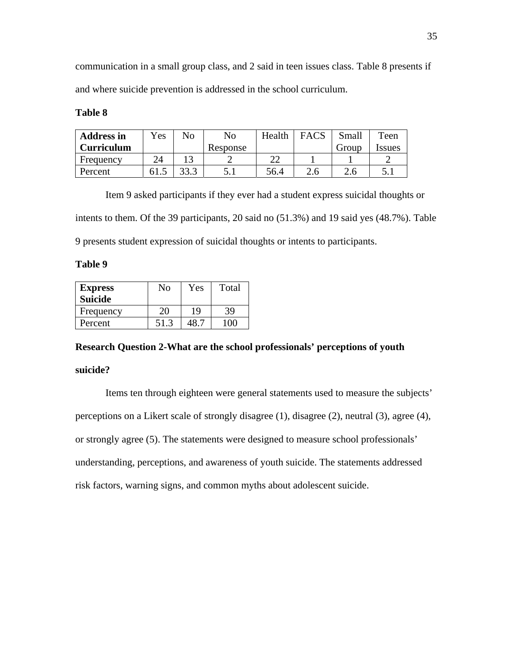communication in a small group class, and 2 said in teen issues class. Table 8 presents if and where suicide prevention is addressed in the school curriculum.

## **Table 8**

| <b>Address in</b> | $v_{es}$ | No   | No       | Health | <b>FACS</b> | Small | Teen   |
|-------------------|----------|------|----------|--------|-------------|-------|--------|
| Curriculum        |          |      | Response |        |             | Group | Issues |
| Frequency         | 24       |      |          |        |             |       |        |
| Percent           |          | 22 2 |          | 56.4   | 2.6         | 2.6   | 5.1    |

Item 9 asked participants if they ever had a student express suicidal thoughts or intents to them. Of the 39 participants, 20 said no (51.3%) and 19 said yes (48.7%). Table 9 presents student expression of suicidal thoughts or intents to participants.

## **Table 9**

| <b>Express</b><br><b>Suicide</b> | Nο   | Yes | Total |
|----------------------------------|------|-----|-------|
| Frequency                        | 20   | 19  | 39    |
| Percent                          | 51.3 |     | ന     |

# **Research Question 2-What are the school professionals' perceptions of youth**

## **suicide?**

Items ten through eighteen were general statements used to measure the subjects' perceptions on a Likert scale of strongly disagree (1), disagree (2), neutral (3), agree (4), or strongly agree (5). The statements were designed to measure school professionals' understanding, perceptions, and awareness of youth suicide. The statements addressed risk factors, warning signs, and common myths about adolescent suicide.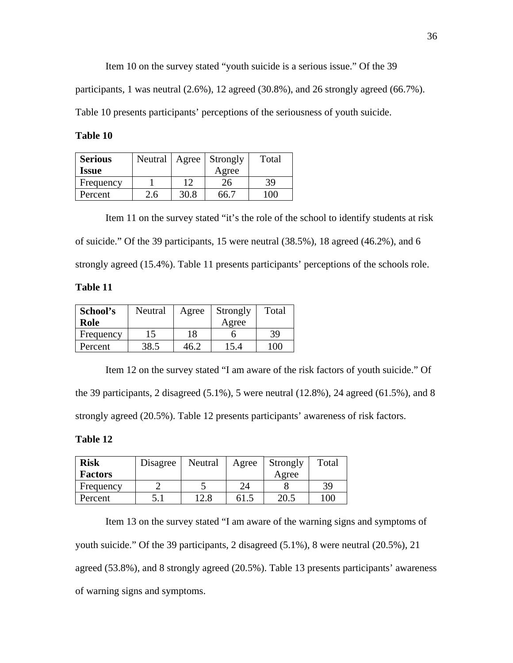Item 10 on the survey stated "youth suicide is a serious issue." Of the 39

participants, 1 was neutral (2.6%), 12 agreed (30.8%), and 26 strongly agreed (66.7%).

Table 10 presents participants' perceptions of the seriousness of youth suicide.

**Table 10** 

| <b>Serious</b>      | Neutral | Agree | <b>Strongly</b> | Total |
|---------------------|---------|-------|-----------------|-------|
| <i><b>Issue</b></i> |         |       | Agree           |       |
| Frequency           |         | 12    | 26              | 39    |
| Percent             | $-0.5$  | 30.8  | 66.1            | (1)   |

Item 11 on the survey stated "it's the role of the school to identify students at risk of suicide." Of the 39 participants, 15 were neutral (38.5%), 18 agreed (46.2%), and 6 strongly agreed (15.4%). Table 11 presents participants' perceptions of the schools role.

## **Table 11**

| School's  | Neutral | Agree | Strongly | Total |
|-----------|---------|-------|----------|-------|
| Role      |         | Agree |          |       |
| Frequency | 15      | 18    |          | 39    |
| Percent   | 38.5    | 46.2  | 15.4     | 100   |

Item 12 on the survey stated "I am aware of the risk factors of youth suicide." Of the 39 participants, 2 disagreed (5.1%), 5 were neutral (12.8%), 24 agreed (61.5%), and 8 strongly agreed (20.5%). Table 12 presents participants' awareness of risk factors.

## **Table 12**

| <b>Risk</b>    | Disagree | Neutral | Agree | Strongly | Total |
|----------------|----------|---------|-------|----------|-------|
| <b>Factors</b> |          |         |       | Agree    |       |
| Frequency      |          |         | 24    |          | 39    |
| Percent        |          |         | 51.1  | 20.5     | 100   |

 Item 13 on the survey stated "I am aware of the warning signs and symptoms of youth suicide." Of the 39 participants, 2 disagreed (5.1%), 8 were neutral (20.5%), 21 agreed (53.8%), and 8 strongly agreed (20.5%). Table 13 presents participants' awareness of warning signs and symptoms.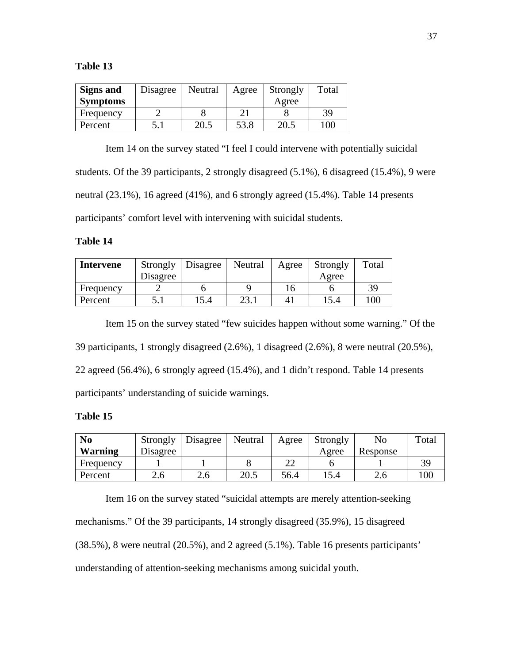## **Table 13**

| Signs and       | Disagree | Neutral | Agree | Strongly | Total |
|-----------------|----------|---------|-------|----------|-------|
| <b>Symptoms</b> |          |         |       | Agree    |       |
| Frequency       |          |         |       |          | 39    |
| Percent         |          | 20.5    | 53.8  | 20.5     | 100   |

Item 14 on the survey stated "I feel I could intervene with potentially suicidal students. Of the 39 participants, 2 strongly disagreed (5.1%), 6 disagreed (15.4%), 9 were neutral (23.1%), 16 agreed (41%), and 6 strongly agreed (15.4%). Table 14 presents participants' comfort level with intervening with suicidal students.

#### **Table 14**

| <b>Intervene</b> | Strongly<br>Disagree | Disagree | Neutral | Agree | Strongly<br>Agree | Total |
|------------------|----------------------|----------|---------|-------|-------------------|-------|
| Frequency        |                      |          |         |       |                   | 39    |
| Percent          |                      | l 5.4    | 23.1    | 4     | 15.4              | 100   |

Item 15 on the survey stated "few suicides happen without some warning." Of the 39 participants, 1 strongly disagreed (2.6%), 1 disagreed (2.6%), 8 were neutral (20.5%), 22 agreed (56.4%), 6 strongly agreed (15.4%), and 1 didn't respond. Table 14 presents participants' understanding of suicide warnings.

#### **Table 15**

| N <sub>0</sub> | Strongly | Disagree | Neutral | Agree | Strongly | No       | Total |
|----------------|----------|----------|---------|-------|----------|----------|-------|
| <b>Warning</b> | Disagree |          |         |       | Agree    | Response |       |
| Frequency      |          |          |         | nη    |          |          | 39    |
| Percent        | 2.6      | 2.6      | 20.5    | 56.4  | .5.4     | 2.6      | 100   |

 Item 16 on the survey stated "suicidal attempts are merely attention-seeking mechanisms." Of the 39 participants, 14 strongly disagreed (35.9%), 15 disagreed (38.5%), 8 were neutral (20.5%), and 2 agreed (5.1%). Table 16 presents participants' understanding of attention-seeking mechanisms among suicidal youth.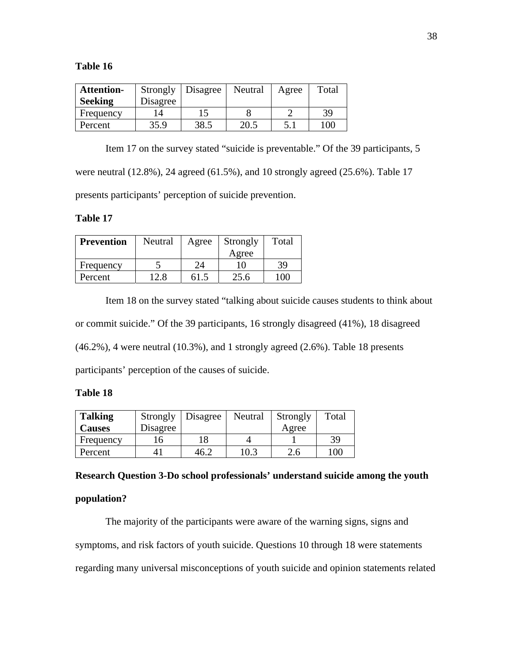## **Table 16**

| <b>Attention-</b> | Strongly | Disagree | Neutral | Agree | Total |
|-------------------|----------|----------|---------|-------|-------|
| <b>Seeking</b>    | Disagree |          |         |       |       |
| Frequency         |          |          |         |       | 39    |
| Percent           | 35.9     | 38.5     | 20.5    |       | 100   |

Item 17 on the survey stated "suicide is preventable." Of the 39 participants, 5

were neutral (12.8%), 24 agreed (61.5%), and 10 strongly agreed (25.6%). Table 17

presents participants' perception of suicide prevention.

## **Table 17**

| <b>Prevention</b> | Neutral | Agree | Strongly | Total   |
|-------------------|---------|-------|----------|---------|
|                   |         |       | Agree    |         |
| Frequency         |         |       |          | 39      |
| Percent           | 12 R    |       | 25.6     | $^{00}$ |

Item 18 on the survey stated "talking about suicide causes students to think about or commit suicide." Of the 39 participants, 16 strongly disagreed (41%), 18 disagreed (46.2%), 4 were neutral (10.3%), and 1 strongly agreed (2.6%). Table 18 presents participants' perception of the causes of suicide.

## **Table 18**

| <b>Talking</b> | Strongly | Disagree | Neutral | Strongly | Total |
|----------------|----------|----------|---------|----------|-------|
| <b>Causes</b>  | Disagree |          |         | Agree    |       |
| Frequency      |          | 18       |         |          | 39    |
| Percent        |          | 46.2     |         |          | 100   |

# **Research Question 3-Do school professionals' understand suicide among the youth population?**

 The majority of the participants were aware of the warning signs, signs and symptoms, and risk factors of youth suicide. Questions 10 through 18 were statements regarding many universal misconceptions of youth suicide and opinion statements related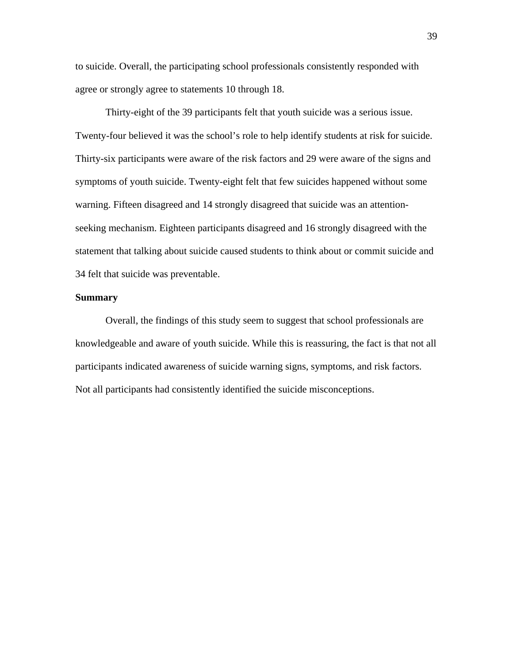to suicide. Overall, the participating school professionals consistently responded with agree or strongly agree to statements 10 through 18.

Thirty-eight of the 39 participants felt that youth suicide was a serious issue. Twenty-four believed it was the school's role to help identify students at risk for suicide. Thirty-six participants were aware of the risk factors and 29 were aware of the signs and symptoms of youth suicide. Twenty-eight felt that few suicides happened without some warning. Fifteen disagreed and 14 strongly disagreed that suicide was an attentionseeking mechanism. Eighteen participants disagreed and 16 strongly disagreed with the statement that talking about suicide caused students to think about or commit suicide and 34 felt that suicide was preventable.

#### **Summary**

Overall, the findings of this study seem to suggest that school professionals are knowledgeable and aware of youth suicide. While this is reassuring, the fact is that not all participants indicated awareness of suicide warning signs, symptoms, and risk factors. Not all participants had consistently identified the suicide misconceptions.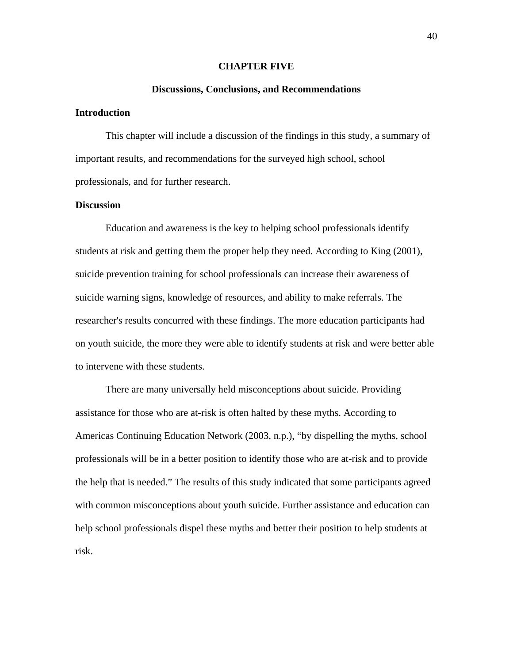#### **CHAPTER FIVE**

#### **Discussions, Conclusions, and Recommendations**

## **Introduction**

This chapter will include a discussion of the findings in this study, a summary of important results, and recommendations for the surveyed high school, school professionals, and for further research.

## **Discussion**

Education and awareness is the key to helping school professionals identify students at risk and getting them the proper help they need. According to King (2001), suicide prevention training for school professionals can increase their awareness of suicide warning signs, knowledge of resources, and ability to make referrals. The researcher's results concurred with these findings. The more education participants had on youth suicide, the more they were able to identify students at risk and were better able to intervene with these students.

There are many universally held misconceptions about suicide. Providing assistance for those who are at-risk is often halted by these myths. According to Americas Continuing Education Network (2003, n.p.), "by dispelling the myths, school professionals will be in a better position to identify those who are at-risk and to provide the help that is needed." The results of this study indicated that some participants agreed with common misconceptions about youth suicide. Further assistance and education can help school professionals dispel these myths and better their position to help students at risk.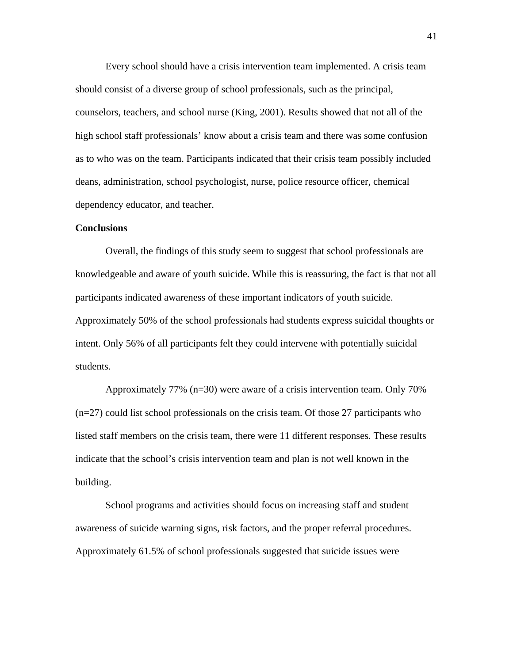Every school should have a crisis intervention team implemented. A crisis team should consist of a diverse group of school professionals, such as the principal, counselors, teachers, and school nurse (King, 2001). Results showed that not all of the high school staff professionals' know about a crisis team and there was some confusion as to who was on the team. Participants indicated that their crisis team possibly included deans, administration, school psychologist, nurse, police resource officer, chemical dependency educator, and teacher.

## **Conclusions**

Overall, the findings of this study seem to suggest that school professionals are knowledgeable and aware of youth suicide. While this is reassuring, the fact is that not all participants indicated awareness of these important indicators of youth suicide. Approximately 50% of the school professionals had students express suicidal thoughts or intent. Only 56% of all participants felt they could intervene with potentially suicidal students.

Approximately 77% (n=30) were aware of a crisis intervention team. Only 70% (n=27) could list school professionals on the crisis team. Of those 27 participants who listed staff members on the crisis team, there were 11 different responses. These results indicate that the school's crisis intervention team and plan is not well known in the building.

School programs and activities should focus on increasing staff and student awareness of suicide warning signs, risk factors, and the proper referral procedures. Approximately 61.5% of school professionals suggested that suicide issues were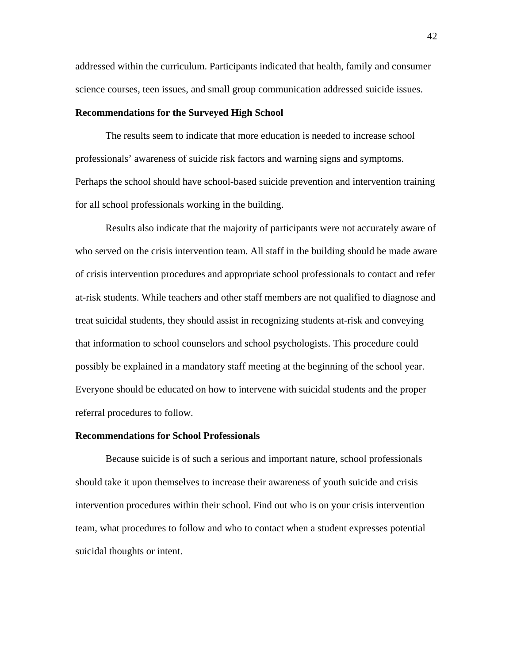addressed within the curriculum. Participants indicated that health, family and consumer science courses, teen issues, and small group communication addressed suicide issues.

#### **Recommendations for the Surveyed High School**

The results seem to indicate that more education is needed to increase school professionals' awareness of suicide risk factors and warning signs and symptoms. Perhaps the school should have school-based suicide prevention and intervention training for all school professionals working in the building.

Results also indicate that the majority of participants were not accurately aware of who served on the crisis intervention team. All staff in the building should be made aware of crisis intervention procedures and appropriate school professionals to contact and refer at-risk students. While teachers and other staff members are not qualified to diagnose and treat suicidal students, they should assist in recognizing students at-risk and conveying that information to school counselors and school psychologists. This procedure could possibly be explained in a mandatory staff meeting at the beginning of the school year. Everyone should be educated on how to intervene with suicidal students and the proper referral procedures to follow.

#### **Recommendations for School Professionals**

Because suicide is of such a serious and important nature, school professionals should take it upon themselves to increase their awareness of youth suicide and crisis intervention procedures within their school. Find out who is on your crisis intervention team, what procedures to follow and who to contact when a student expresses potential suicidal thoughts or intent.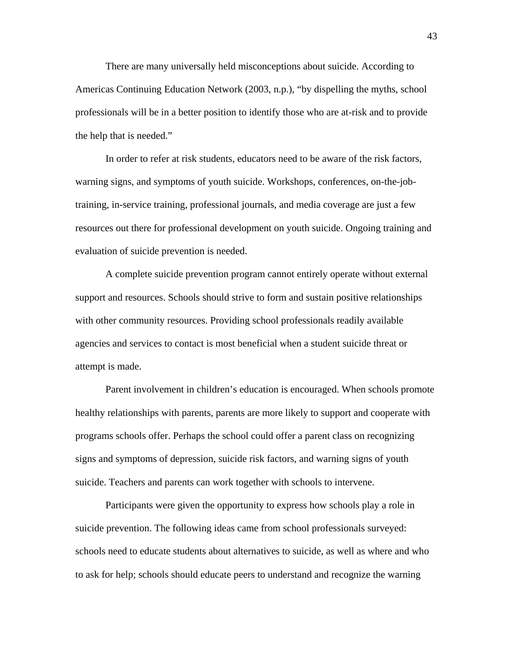There are many universally held misconceptions about suicide. According to Americas Continuing Education Network (2003, n.p.), "by dispelling the myths, school professionals will be in a better position to identify those who are at-risk and to provide the help that is needed."

In order to refer at risk students, educators need to be aware of the risk factors, warning signs, and symptoms of youth suicide. Workshops, conferences, on-the-jobtraining, in-service training, professional journals, and media coverage are just a few resources out there for professional development on youth suicide. Ongoing training and evaluation of suicide prevention is needed.

A complete suicide prevention program cannot entirely operate without external support and resources. Schools should strive to form and sustain positive relationships with other community resources. Providing school professionals readily available agencies and services to contact is most beneficial when a student suicide threat or attempt is made.

Parent involvement in children's education is encouraged. When schools promote healthy relationships with parents, parents are more likely to support and cooperate with programs schools offer. Perhaps the school could offer a parent class on recognizing signs and symptoms of depression, suicide risk factors, and warning signs of youth suicide. Teachers and parents can work together with schools to intervene.

Participants were given the opportunity to express how schools play a role in suicide prevention. The following ideas came from school professionals surveyed: schools need to educate students about alternatives to suicide, as well as where and who to ask for help; schools should educate peers to understand and recognize the warning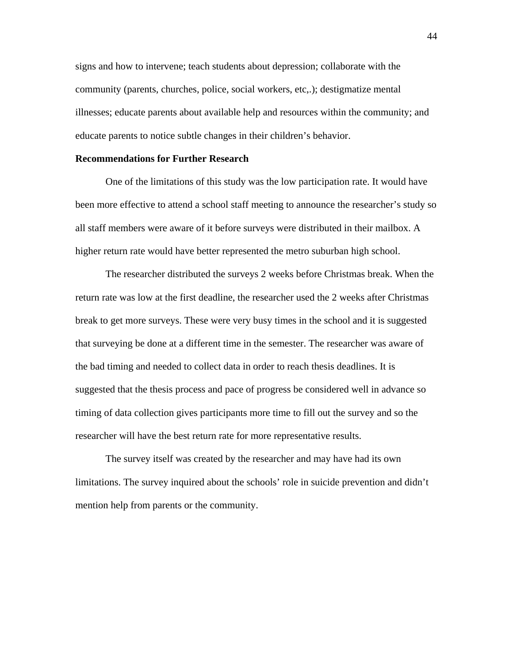signs and how to intervene; teach students about depression; collaborate with the community (parents, churches, police, social workers, etc,.); destigmatize mental illnesses; educate parents about available help and resources within the community; and educate parents to notice subtle changes in their children's behavior.

#### **Recommendations for Further Research**

One of the limitations of this study was the low participation rate. It would have been more effective to attend a school staff meeting to announce the researcher's study so all staff members were aware of it before surveys were distributed in their mailbox. A higher return rate would have better represented the metro suburban high school.

 The researcher distributed the surveys 2 weeks before Christmas break. When the return rate was low at the first deadline, the researcher used the 2 weeks after Christmas break to get more surveys. These were very busy times in the school and it is suggested that surveying be done at a different time in the semester. The researcher was aware of the bad timing and needed to collect data in order to reach thesis deadlines. It is suggested that the thesis process and pace of progress be considered well in advance so timing of data collection gives participants more time to fill out the survey and so the researcher will have the best return rate for more representative results.

 The survey itself was created by the researcher and may have had its own limitations. The survey inquired about the schools' role in suicide prevention and didn't mention help from parents or the community.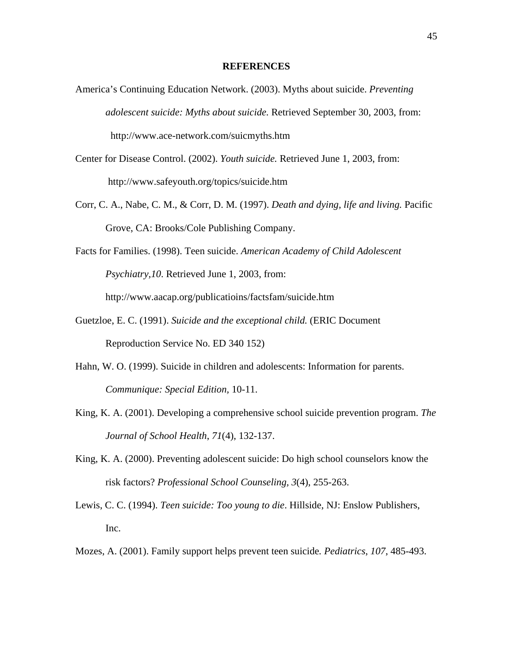#### **REFERENCES**

- America's Continuing Education Network. (2003). Myths about suicide. *Preventing adolescent suicide: Myths about suicide.* Retrieved September 30, 2003, from: http://www.ace-network.com/suicmyths.htm
- Center for Disease Control. (2002). *Youth suicide.* Retrieved June 1, 2003, from: http://www.safeyouth.org/topics/suicide.htm
- Corr, C. A., Nabe, C. M., & Corr, D. M. (1997). *Death and dying, life and living.* Pacific Grove, CA: Brooks/Cole Publishing Company.
- Facts for Families. (1998). Teen suicide. *American Academy of Child Adolescent Psychiatry,10*. Retrieved June 1, 2003, from:

http://www.aacap.org/publicatioins/factsfam/suicide.htm

- Guetzloe, E. C. (1991). *Suicide and the exceptional child.* (ERIC Document Reproduction Service No. ED 340 152)
- Hahn, W. O. (1999). Suicide in children and adolescents: Information for parents. *Communique: Special Edition,* 10-11.
- King, K. A. (2001). Developing a comprehensive school suicide prevention program. *The Journal of School Health*, *71*(4), 132-137.
- King, K. A. (2000). Preventing adolescent suicide: Do high school counselors know the risk factors? *Professional School Counseling, 3*(4), 255-263.
- Lewis, C. C. (1994). *Teen suicide: Too young to die*. Hillside, NJ: Enslow Publishers, Inc.
- Mozes, A. (2001). Family support helps prevent teen suicide*. Pediatrics*, *107*, 485-493.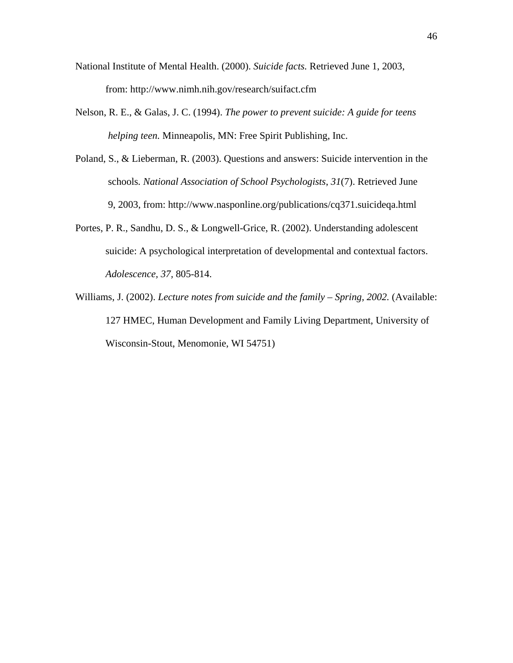- National Institute of Mental Health. (2000). *Suicide facts.* Retrieved June 1, 2003, from: http://www.nimh.nih.gov/research/suifact.cfm
- Nelson, R. E., & Galas, J. C. (1994). *The power to prevent suicide: A guide for teens helping teen.* Minneapolis, MN: Free Spirit Publishing, Inc.
- Poland, S., & Lieberman, R. (2003). Questions and answers: Suicide intervention in the schools*. National Association of School Psychologists*, *31*(7). Retrieved June 9, 2003, from: http://www.nasponline.org/publications/cq371.suicideqa.html
- Portes, P. R., Sandhu, D. S., & Longwell-Grice, R. (2002). Understanding adolescent suicide: A psychological interpretation of developmental and contextual factors. *Adolescence, 37,* 805-814.
- Williams, J. (2002). *Lecture notes from suicide and the family Spring, 2002.* (Available: 127 HMEC, Human Development and Family Living Department, University of Wisconsin-Stout, Menomonie, WI 54751)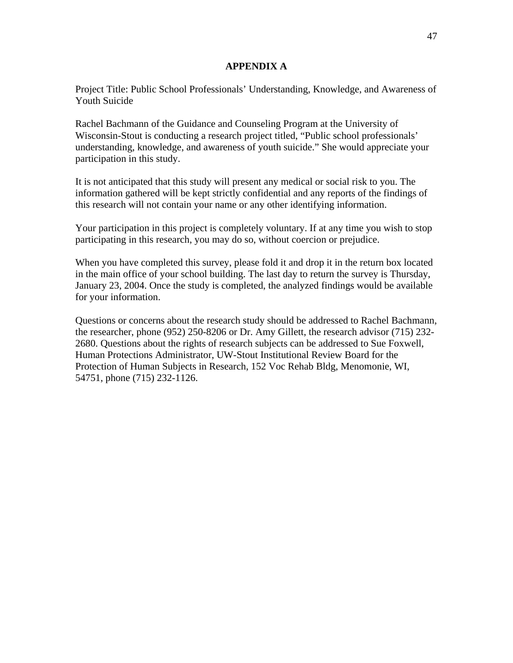## **APPENDIX A**

Project Title: Public School Professionals' Understanding, Knowledge, and Awareness of Youth Suicide

Rachel Bachmann of the Guidance and Counseling Program at the University of Wisconsin-Stout is conducting a research project titled, "Public school professionals' understanding, knowledge, and awareness of youth suicide." She would appreciate your participation in this study.

It is not anticipated that this study will present any medical or social risk to you. The information gathered will be kept strictly confidential and any reports of the findings of this research will not contain your name or any other identifying information.

Your participation in this project is completely voluntary. If at any time you wish to stop participating in this research, you may do so, without coercion or prejudice.

When you have completed this survey, please fold it and drop it in the return box located in the main office of your school building. The last day to return the survey is Thursday, January 23, 2004. Once the study is completed, the analyzed findings would be available for your information.

Questions or concerns about the research study should be addressed to Rachel Bachmann, the researcher, phone (952) 250-8206 or Dr. Amy Gillett, the research advisor (715) 232- 2680. Questions about the rights of research subjects can be addressed to Sue Foxwell, Human Protections Administrator, UW-Stout Institutional Review Board for the Protection of Human Subjects in Research, 152 Voc Rehab Bldg, Menomonie, WI, 54751, phone (715) 232-1126.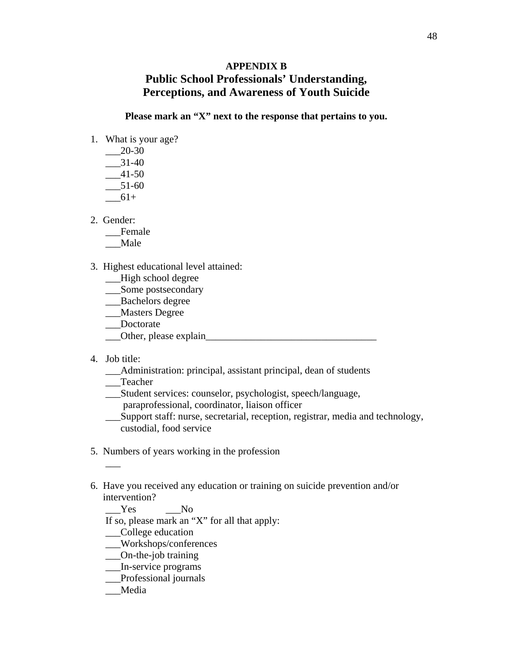# **APPENDIX B Public School Professionals' Understanding, Perceptions, and Awareness of Youth Suicide**

**Please mark an "X" next to the response that pertains to you.** 

- 1. What is your age?
	- $-20-30$
	- $-31-40$
	- \_\_\_41-50
	- $-51-60$
	- $61+$
- 2. Gender:
	- \_\_\_Female
	- \_\_\_Male
- 3. Highest educational level attained:
	- \_\_\_High school degree
	- \_\_\_Some postsecondary
	- \_\_\_Bachelors degree
	- \_\_\_Masters Degree
	- \_\_\_Doctorate
	- \_\_\_Other, please explain\_\_\_\_\_\_\_\_\_\_\_\_\_\_\_\_\_\_\_\_\_\_\_\_\_\_\_\_\_\_\_\_\_\_
- 4. Job title:

 $\sim$ 

- \_\_\_Administration: principal, assistant principal, dean of students
- \_\_\_Teacher
- \_\_\_Student services: counselor, psychologist, speech/language, paraprofessional, coordinator, liaison officer
- \_\_\_Support staff: nurse, secretarial, reception, registrar, media and technology, custodial, food service
- 5. Numbers of years working in the profession
- 6. Have you received any education or training on suicide prevention and/or intervention?
	- Yes No

If so, please mark an "X" for all that apply:

- \_\_\_College education
- \_\_\_Workshops/conferences
- \_\_\_On-the-job training
- \_\_\_In-service programs
- \_\_\_Professional journals

# \_\_\_Media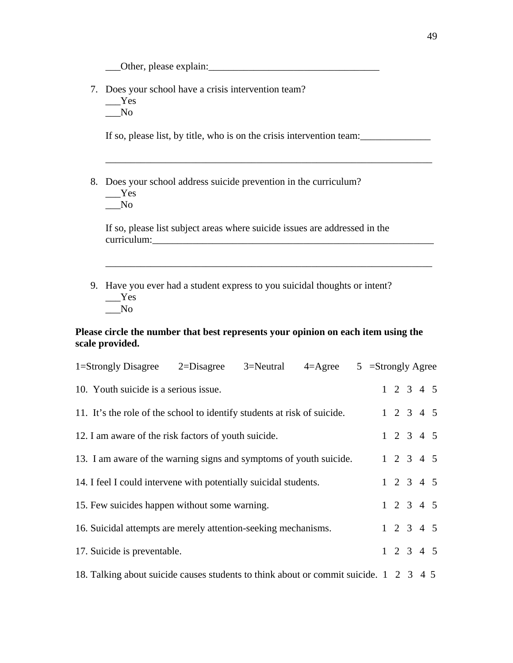\_\_\_Other, please explain:\_\_\_\_\_\_\_\_\_\_\_\_\_\_\_\_\_\_\_\_\_\_\_\_\_\_\_\_\_\_\_\_\_\_

- 7. Does your school have a crisis intervention team?
	- \_\_\_Yes \_\_\_No

If so, please list, by title, who is on the crisis intervention team:

\_\_\_\_\_\_\_\_\_\_\_\_\_\_\_\_\_\_\_\_\_\_\_\_\_\_\_\_\_\_\_\_\_\_\_\_\_\_\_\_\_\_\_\_\_\_\_\_\_\_\_\_\_\_\_\_\_\_\_\_\_\_\_\_\_

8. Does your school address suicide prevention in the curriculum? \_\_\_Yes  $\_\_$  No

If so, please list subject areas where suicide issues are addressed in the curriculum:

\_\_\_\_\_\_\_\_\_\_\_\_\_\_\_\_\_\_\_\_\_\_\_\_\_\_\_\_\_\_\_\_\_\_\_\_\_\_\_\_\_\_\_\_\_\_\_\_\_\_\_\_\_\_\_\_\_\_\_\_\_\_\_\_\_

9. Have you ever had a student express to you suicidal thoughts or intent?  $Y$ es \_\_\_No

## **Please circle the number that best represents your opinion on each item using the scale provided.**

| 1=Strongly Disagree                                                                   | $2 = Disagree$ | 3=Neutral | $4 = \text{Agree}$ |  | $5 =$ Strongly Agree |  |                     |  |  |
|---------------------------------------------------------------------------------------|----------------|-----------|--------------------|--|----------------------|--|---------------------|--|--|
| 10. Youth suicide is a serious issue.                                                 |                |           |                    |  |                      |  | $1 \t2 \t3 \t4 \t5$ |  |  |
| 11. It's the role of the school to identify students at risk of suicide.              |                |           |                    |  |                      |  | $1 \t2 \t3 \t4 \t5$ |  |  |
| 12. I am aware of the risk factors of youth suicide.                                  |                |           |                    |  |                      |  | $1 \t2 \t3 \t4 \t5$ |  |  |
| 13. I am aware of the warning signs and symptoms of youth suicide.                    |                |           |                    |  |                      |  | $1 \t2 \t3 \t4 \t5$ |  |  |
| 14. I feel I could intervene with potentially suicidal students.                      |                |           |                    |  |                      |  | $1 \t2 \t3 \t4 \t5$ |  |  |
| 15. Few suicides happen without some warning.                                         |                |           |                    |  |                      |  | $1 \t2 \t3 \t4 \t5$ |  |  |
| 16. Suicidal attempts are merely attention-seeking mechanisms.                        |                |           |                    |  |                      |  | $1 \t2 \t3 \t4 \t5$ |  |  |
| 17. Suicide is preventable.                                                           |                |           |                    |  |                      |  | $1 \t2 \t3 \t4 \t5$ |  |  |
| 18. Talking about suicide causes students to think about or commit suicide. 1 2 3 4 5 |                |           |                    |  |                      |  |                     |  |  |